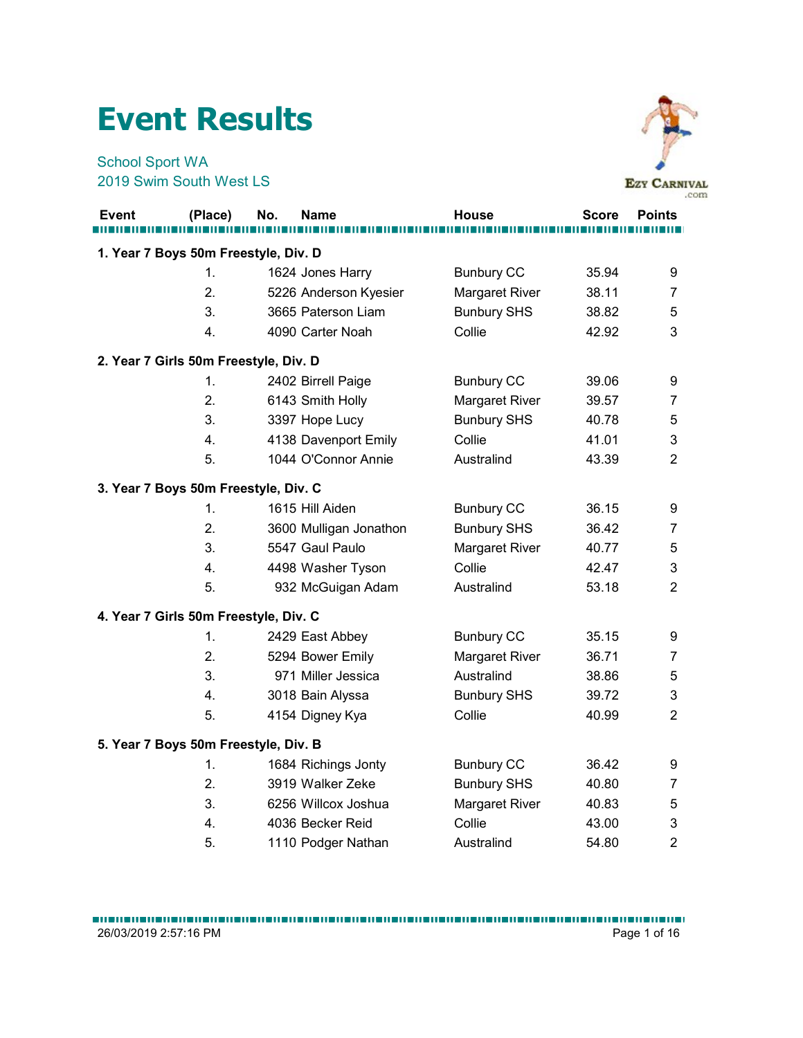## Event Results



|                        | <b>Event Results</b>                  |     |                                         |                          |                |                             |
|------------------------|---------------------------------------|-----|-----------------------------------------|--------------------------|----------------|-----------------------------|
| <b>School Sport WA</b> | 2019 Swim South West LS               |     |                                         |                          |                | <b>EZY CARNIVAL</b><br>.com |
| Event                  | (Place)                               | No. | <b>Name</b>                             | <b>House</b>             | <b>Score</b>   | <b>Points</b>               |
|                        | 1. Year 7 Boys 50m Freestyle, Div. D  |     |                                         |                          |                |                             |
|                        | $\mathbf{1}$ .                        |     | 1624 Jones Harry                        | <b>Bunbury CC</b>        | 35.94          | 9                           |
|                        | 2.                                    |     | 5226 Anderson Kyesier                   | Margaret River           | 38.11          | 7                           |
|                        | 3.                                    |     | 3665 Paterson Liam                      | <b>Bunbury SHS</b>       | 38.82          | 5                           |
|                        | 4.                                    |     | 4090 Carter Noah                        | Collie                   | 42.92          | 3                           |
|                        | 2. Year 7 Girls 50m Freestyle, Div. D |     |                                         |                          |                |                             |
|                        | $\mathbf{1}$ .                        |     | 2402 Birrell Paige                      | <b>Bunbury CC</b>        | 39.06          | 9                           |
|                        | 2.                                    |     | 6143 Smith Holly                        | Margaret River           | 39.57          | 7                           |
|                        | 3.                                    |     | 3397 Hope Lucy                          | <b>Bunbury SHS</b>       | 40.78          | 5                           |
|                        | 4.                                    |     | 4138 Davenport Emily                    | Collie                   | 41.01          | 3                           |
|                        | 5.                                    |     | 1044 O'Connor Annie                     | Australind               | 43.39          | $\overline{2}$              |
|                        | 3. Year 7 Boys 50m Freestyle, Div. C  |     |                                         |                          |                |                             |
|                        | $\mathbf{1}$ .                        |     | 1615 Hill Aiden                         | <b>Bunbury CC</b>        | 36.15          | 9                           |
|                        | 2.                                    |     | 3600 Mulligan Jonathon                  | <b>Bunbury SHS</b>       | 36.42          | 7                           |
|                        | 3.                                    |     | 5547 Gaul Paulo                         | Margaret River           | 40.77          | 5                           |
|                        | 4.                                    |     | 4498 Washer Tyson                       | Collie                   | 42.47          | 3                           |
|                        | 5.                                    |     | 932 McGuigan Adam                       | Australind               | 53.18          | $\overline{c}$              |
|                        | 4. Year 7 Girls 50m Freestyle, Div. C |     |                                         |                          |                |                             |
|                        | 1.                                    |     | 2429 East Abbey                         | <b>Bunbury CC</b>        | 35.15          | 9                           |
|                        | 2.                                    |     | 5294 Bower Emily                        | Margaret River           | 36.71          | 7                           |
|                        | 3.                                    |     | 971 Miller Jessica                      | Australind               | 38.86          | 5                           |
|                        | 4.                                    |     | 3018 Bain Alyssa                        | <b>Bunbury SHS</b>       | 39.72          | 3                           |
|                        | 5.                                    |     | 4154 Digney Kya                         | Collie                   | 40.99          | $\overline{2}$              |
|                        |                                       |     |                                         |                          |                |                             |
|                        | 5. Year 7 Boys 50m Freestyle, Div. B  |     |                                         |                          |                |                             |
|                        | $\mathbf{1}$ .                        |     | 1684 Richings Jonty                     | <b>Bunbury CC</b>        | 36.42          | 9                           |
|                        | 2.<br>3.                              |     | 3919 Walker Zeke                        | <b>Bunbury SHS</b>       | 40.80          | 7                           |
|                        | 4.                                    |     | 6256 Willcox Joshua<br>4036 Becker Reid | Margaret River<br>Collie | 40.83<br>43.00 | 5<br>3                      |
|                        | 5.                                    |     | 1110 Podger Nathan                      | Australind               | 54.80          | $\overline{2}$              |
|                        |                                       |     |                                         |                          |                |                             |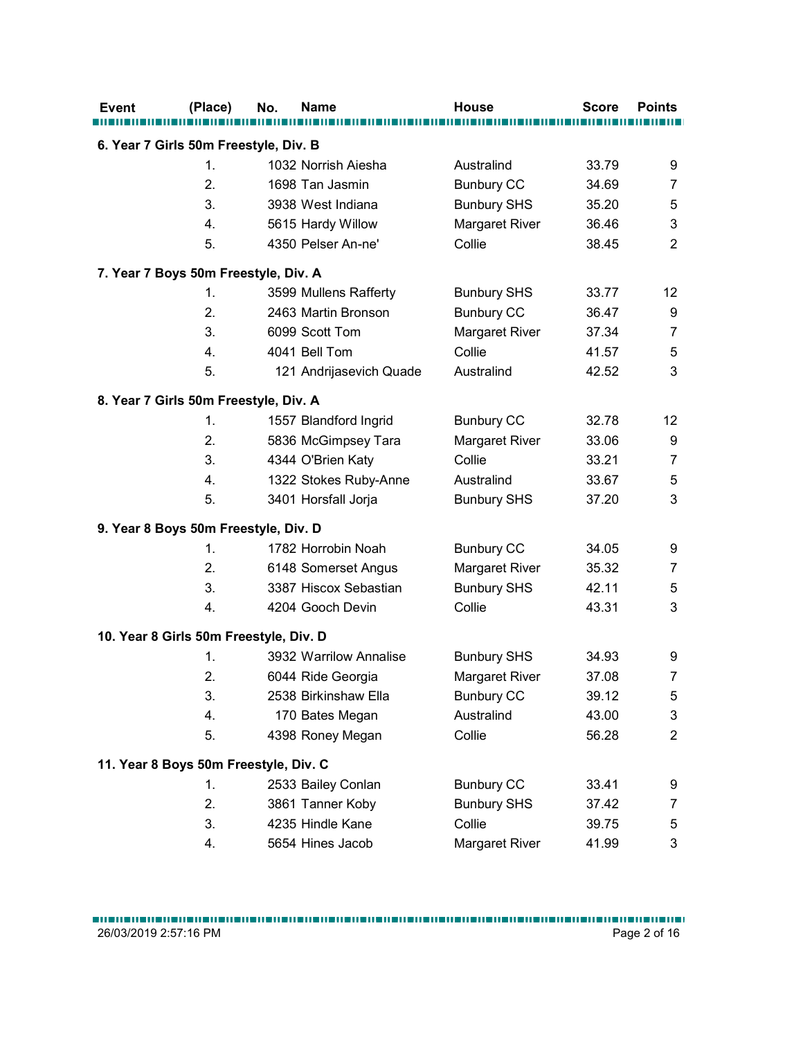|                                       | (Place)        | <b>Name</b><br>No.                     | <b>House</b>                     | <b>Score</b>   | <b>Points</b>              |
|---------------------------------------|----------------|----------------------------------------|----------------------------------|----------------|----------------------------|
| 6. Year 7 Girls 50m Freestyle, Div. B |                |                                        |                                  |                |                            |
|                                       | $\mathbf{1}$ . | 1032 Norrish Aiesha                    | Australind                       | 33.79          | 9                          |
|                                       | 2.             | 1698 Tan Jasmin                        | <b>Bunbury CC</b>                | 34.69          | $\overline{7}$             |
|                                       | 3.             | 3938 West Indiana                      | <b>Bunbury SHS</b>               | 35.20          | 5                          |
|                                       | 4.             | 5615 Hardy Willow                      | Margaret River                   | 36.46          | $\mathbf{3}$               |
|                                       | 5.             | 4350 Pelser An-ne'                     | Collie                           | 38.45          | $\overline{2}$             |
| 7. Year 7 Boys 50m Freestyle, Div. A  |                |                                        |                                  |                |                            |
|                                       | 1.             | 3599 Mullens Rafferty                  | <b>Bunbury SHS</b>               | 33.77          | 12                         |
|                                       | 2.             | 2463 Martin Bronson                    | <b>Bunbury CC</b>                | 36.47          | 9                          |
|                                       | 3.             | 6099 Scott Tom                         | Margaret River                   | 37.34          | $\overline{7}$             |
|                                       | 4.             | 4041 Bell Tom                          | Collie                           | 41.57          | 5                          |
|                                       | 5.             | 121 Andrijasevich Quade                | Australind                       | 42.52          | $\mathsf 3$                |
|                                       |                |                                        |                                  |                |                            |
| 8. Year 7 Girls 50m Freestyle, Div. A |                |                                        |                                  |                |                            |
|                                       | 1.             | 1557 Blandford Ingrid                  | <b>Bunbury CC</b>                | 32.78          | 12                         |
|                                       | 2.             | 5836 McGimpsey Tara                    | Margaret River                   | 33.06          | 9                          |
|                                       | 3.             | 4344 O'Brien Katy                      | Collie                           | 33.21          | $\overline{7}$             |
|                                       | 4.<br>5.       | 1322 Stokes Ruby-Anne                  | Australind<br><b>Bunbury SHS</b> | 33.67<br>37.20 | $\mathbf 5$<br>3           |
|                                       |                | 3401 Horsfall Jorja                    |                                  |                |                            |
| 9. Year 8 Boys 50m Freestyle, Div. D  |                |                                        |                                  |                |                            |
|                                       | 1.             | 1782 Horrobin Noah                     | <b>Bunbury CC</b>                | 34.05          | 9                          |
|                                       | 2.             | 6148 Somerset Angus                    | Margaret River                   | 35.32          | $\boldsymbol{7}$           |
|                                       | 3.             | 3387 Hiscox Sebastian                  | <b>Bunbury SHS</b>               | 42.11          | 5                          |
|                                       | 4.             | 4204 Gooch Devin                       | Collie                           | 43.31          | $\mathsf 3$                |
|                                       |                | 10. Year 8 Girls 50m Freestyle, Div. D |                                  |                |                            |
|                                       | 1.             | 3932 Warrilow Annalise                 | <b>Bunbury SHS</b>               | 34.93          | 9                          |
|                                       | 2.             | 6044 Ride Georgia                      | Margaret River                   | 37.08          | $\overline{7}$             |
|                                       | 3.             | 2538 Birkinshaw Ella                   | <b>Bunbury CC</b>                | 39.12          | $\mathbf 5$                |
|                                       | 4.             | 170 Bates Megan                        | Australind                       | 43.00          | $\sqrt{3}$                 |
|                                       | 5.             | 4398 Roney Megan                       | Collie                           | 56.28          | $\overline{2}$             |
|                                       |                |                                        |                                  |                |                            |
|                                       |                | 11. Year 8 Boys 50m Freestyle, Div. C  |                                  |                |                            |
|                                       | 1.             | 2533 Bailey Conlan                     | <b>Bunbury CC</b>                | 33.41          | 9                          |
|                                       | 2.<br>3.       | 3861 Tanner Koby<br>4235 Hindle Kane   | <b>Bunbury SHS</b><br>Collie     | 37.42<br>39.75 | $\boldsymbol{7}$           |
|                                       |                |                                        |                                  |                | $\mathbf 5$<br>$\mathsf 3$ |
|                                       | 4.             | 5654 Hines Jacob                       | Margaret River                   | 41.99          |                            |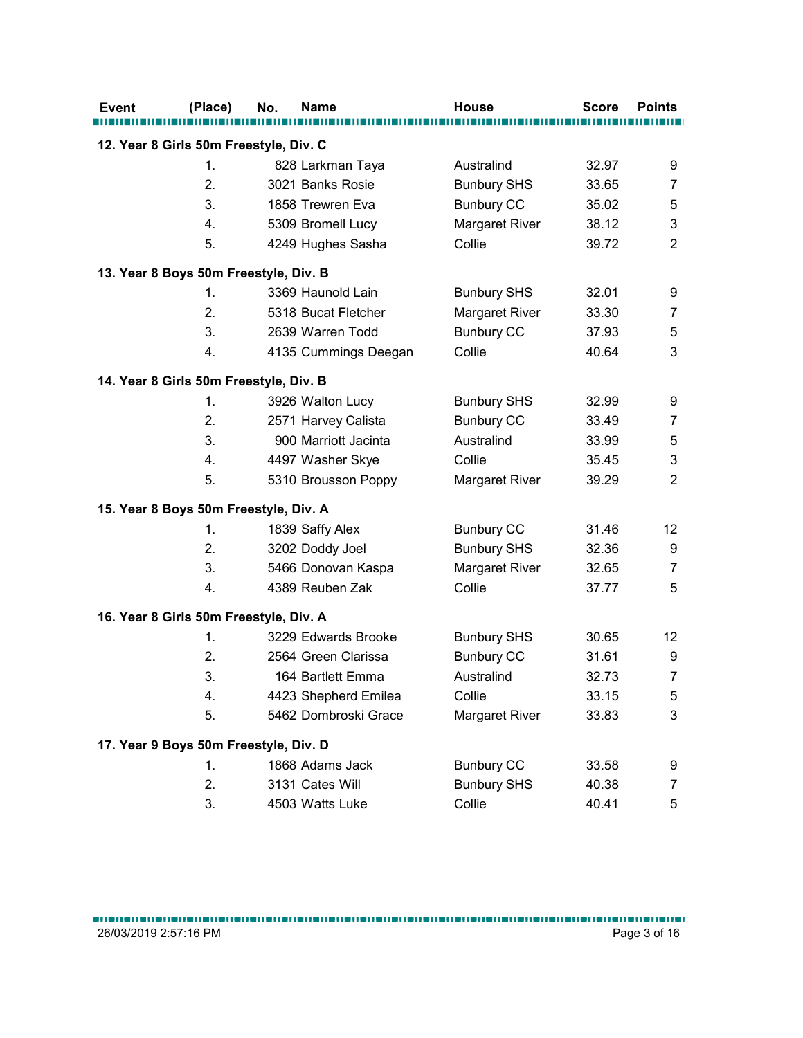|                                        | (Place)        | No.<br><b>Name</b>                     | <b>House</b>       | <b>Score</b> | <b>Points</b>             |
|----------------------------------------|----------------|----------------------------------------|--------------------|--------------|---------------------------|
| 12. Year 8 Girls 50m Freestyle, Div. C |                |                                        |                    |              |                           |
|                                        | 1.             | 828 Larkman Taya                       | Australind         | 32.97        | 9                         |
|                                        | 2.             | 3021 Banks Rosie                       | <b>Bunbury SHS</b> | 33.65        | $\overline{7}$            |
|                                        | 3.             | 1858 Trewren Eva                       | <b>Bunbury CC</b>  | 35.02        | 5                         |
|                                        | 4.             | 5309 Bromell Lucy                      | Margaret River     | 38.12        | $\sqrt{3}$                |
|                                        | 5.             | 4249 Hughes Sasha                      | Collie             | 39.72        | $\sqrt{2}$                |
|                                        |                | 13. Year 8 Boys 50m Freestyle, Div. B  |                    |              |                           |
|                                        | 1.             | 3369 Haunold Lain                      | <b>Bunbury SHS</b> | 32.01        | 9                         |
|                                        | 2.             | 5318 Bucat Fletcher                    | Margaret River     | 33.30        | $\overline{7}$            |
|                                        | 3.             | 2639 Warren Todd                       | <b>Bunbury CC</b>  | 37.93        | 5                         |
|                                        | 4.             | 4135 Cummings Deegan                   | Collie             | 40.64        | 3                         |
|                                        |                |                                        |                    |              |                           |
| 14. Year 8 Girls 50m Freestyle, Div. B |                |                                        |                    |              |                           |
|                                        | $\mathbf{1}$ . | 3926 Walton Lucy                       | <b>Bunbury SHS</b> | 32.99        | 9                         |
|                                        | 2.             | 2571 Harvey Calista                    | <b>Bunbury CC</b>  | 33.49        | $\overline{7}$            |
|                                        | 3.             | 900 Marriott Jacinta                   | Australind         | 33.99        | $\sqrt{5}$                |
|                                        | 4.             | 4497 Washer Skye                       | Collie             | 35.45        | $\ensuremath{\mathsf{3}}$ |
|                                        | 5.             | 5310 Brousson Poppy                    | Margaret River     | 39.29        | $\sqrt{2}$                |
|                                        |                | 15. Year 8 Boys 50m Freestyle, Div. A  |                    |              |                           |
|                                        | 1.             | 1839 Saffy Alex                        | <b>Bunbury CC</b>  | 31.46        | 12                        |
|                                        | 2.             | 3202 Doddy Joel                        | <b>Bunbury SHS</b> | 32.36        | 9                         |
|                                        | 3.             | 5466 Donovan Kaspa                     | Margaret River     | 32.65        | $\boldsymbol{7}$          |
|                                        | 4.             | 4389 Reuben Zak                        | Collie             | 37.77        | $\sqrt{5}$                |
|                                        |                | 16. Year 8 Girls 50m Freestyle, Div. A |                    |              |                           |
|                                        | 1.             | 3229 Edwards Brooke                    | <b>Bunbury SHS</b> | 30.65        | 12                        |
|                                        | 2.             | 2564 Green Clarissa                    | <b>Bunbury CC</b>  | 31.61        | 9                         |
|                                        | 3.             | 164 Bartlett Emma                      | Australind         | 32.73        | $\overline{7}$            |
|                                        | 4.             | 4423 Shepherd Emilea                   | Collie             | 33.15        | $\mathbf 5$               |
|                                        | 5.             | 5462 Dombroski Grace                   | Margaret River     | 33.83        | $\ensuremath{\mathsf{3}}$ |
|                                        |                |                                        |                    |              |                           |
|                                        |                | 17. Year 9 Boys 50m Freestyle, Div. D  |                    |              |                           |
|                                        | 1.             | 1868 Adams Jack                        | <b>Bunbury CC</b>  | 33.58        | 9                         |
|                                        | 2.<br>3.       | 3131 Cates Will                        | <b>Bunbury SHS</b> | 40.38        | $\overline{7}$            |
|                                        |                | 4503 Watts Luke                        | Collie             | 40.41        | $\sqrt{5}$                |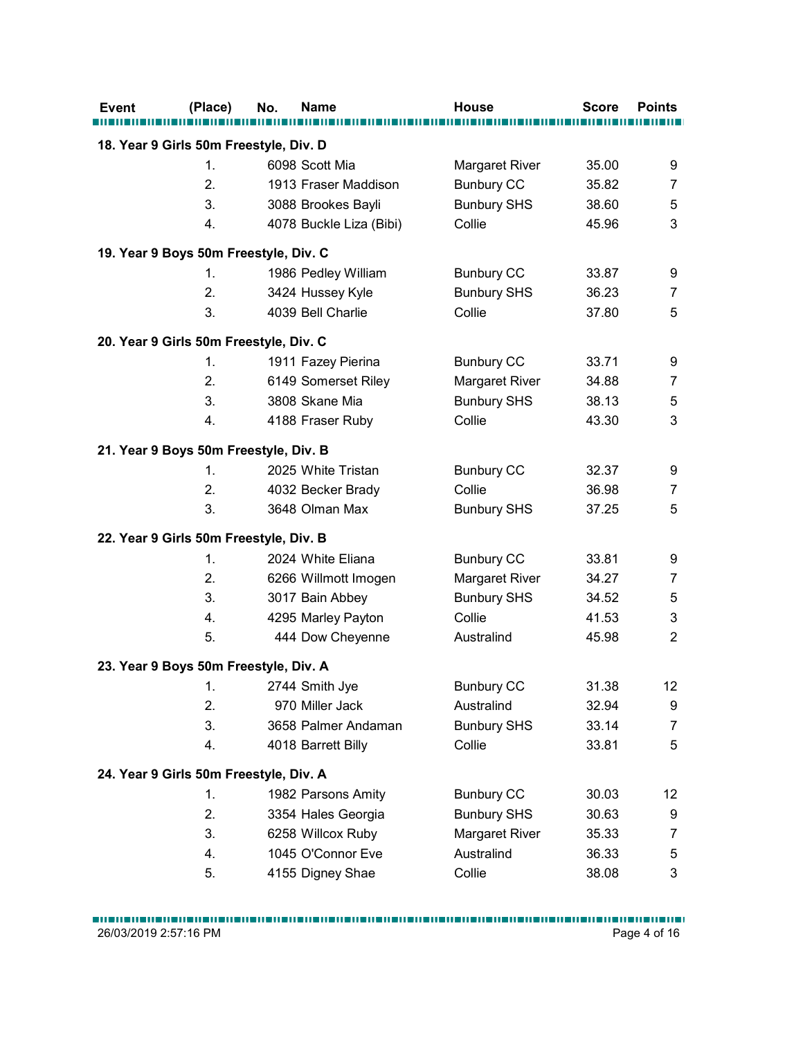| 18. Year 9 Girls 50m Freestyle, Div. D<br>6098 Scott Mia<br>Margaret River<br>35.00<br>9<br>1.<br>2.<br>$\overline{7}$<br>1913 Fraser Maddison<br><b>Bunbury CC</b><br>35.82<br>3.<br>5<br>3088 Brookes Bayli<br><b>Bunbury SHS</b><br>38.60<br>$\mathbf{3}$<br>4.<br>4078 Buckle Liza (Bibi)<br>Collie<br>45.96<br>19. Year 9 Boys 50m Freestyle, Div. C<br><b>Bunbury CC</b><br>9<br>1986 Pedley William<br>33.87<br>1.<br>2.<br><b>Bunbury SHS</b><br>36.23<br>$\overline{7}$<br>3424 Hussey Kyle<br>3.<br>4039 Bell Charlie<br>5<br>Collie<br>37.80<br>1911 Fazey Pierina<br><b>Bunbury CC</b><br>33.71<br>9<br>1.<br>2.<br>$\overline{7}$<br>6149 Somerset Riley<br>Margaret River<br>34.88<br>5<br>3.<br>3808 Skane Mia<br>38.13<br><b>Bunbury SHS</b><br>$\overline{4}$ .<br>$\mathfrak{S}$<br>4188 Fraser Ruby<br>Collie<br>43.30<br>2025 White Tristan<br><b>Bunbury CC</b><br>32.37<br>9<br>1.<br>2.<br>Collie<br>4032 Becker Brady<br>36.98<br>$\overline{7}$<br>3.<br>$\sqrt{5}$<br>3648 Olman Max<br><b>Bunbury SHS</b><br>37.25<br>2024 White Eliana<br><b>Bunbury CC</b><br>33.81<br>9<br>1.<br>2.<br>Margaret River<br>6266 Willmott Imogen<br>34.27<br>$\overline{7}$<br>3.<br>3017 Bain Abbey<br><b>Bunbury SHS</b><br>34.52<br>$\mathbf 5$<br>$\ensuremath{\mathsf{3}}$<br>Collie<br>41.53<br>4.<br>4295 Marley Payton<br>$\sqrt{2}$<br>5.<br>444 Dow Cheyenne<br>45.98<br>Australind<br>2744 Smith Jye<br><b>Bunbury CC</b><br>31.38<br>12<br>$\mathbf{1}$ .<br>2.<br>970 Miller Jack<br>Australind<br>32.94<br>9<br>3.<br>3658 Palmer Andaman<br><b>Bunbury SHS</b><br>33.14<br>$\overline{7}$<br>$\sqrt{5}$<br>Collie<br>33.81<br>4.<br>4018 Barrett Billy<br>1982 Parsons Amity<br><b>Bunbury CC</b><br>30.03<br>12<br>1.<br>2.<br>3354 Hales Georgia<br><b>Bunbury SHS</b><br>30.63<br>9<br>3.<br>6258 Willcox Ruby<br>Margaret River<br>$\overline{7}$<br>35.33<br>1045 O'Connor Eve<br>Australind<br>$\mathbf 5$<br>4.<br>36.33 | <b>Event</b> | (Place) | No.<br><b>Name</b> | <b>House</b> | <b>Score</b> | <b>Points</b> |
|-----------------------------------------------------------------------------------------------------------------------------------------------------------------------------------------------------------------------------------------------------------------------------------------------------------------------------------------------------------------------------------------------------------------------------------------------------------------------------------------------------------------------------------------------------------------------------------------------------------------------------------------------------------------------------------------------------------------------------------------------------------------------------------------------------------------------------------------------------------------------------------------------------------------------------------------------------------------------------------------------------------------------------------------------------------------------------------------------------------------------------------------------------------------------------------------------------------------------------------------------------------------------------------------------------------------------------------------------------------------------------------------------------------------------------------------------------------------------------------------------------------------------------------------------------------------------------------------------------------------------------------------------------------------------------------------------------------------------------------------------------------------------------------------------------------------------------------------------------------------------------------------------------------------------------------------------------------|--------------|---------|--------------------|--------------|--------------|---------------|
| 20. Year 9 Girls 50m Freestyle, Div. C<br>21. Year 9 Boys 50m Freestyle, Div. B<br>22. Year 9 Girls 50m Freestyle, Div. B<br>23. Year 9 Boys 50m Freestyle, Div. A<br>24. Year 9 Girls 50m Freestyle, Div. A                                                                                                                                                                                                                                                                                                                                                                                                                                                                                                                                                                                                                                                                                                                                                                                                                                                                                                                                                                                                                                                                                                                                                                                                                                                                                                                                                                                                                                                                                                                                                                                                                                                                                                                                              |              |         |                    |              |              |               |
|                                                                                                                                                                                                                                                                                                                                                                                                                                                                                                                                                                                                                                                                                                                                                                                                                                                                                                                                                                                                                                                                                                                                                                                                                                                                                                                                                                                                                                                                                                                                                                                                                                                                                                                                                                                                                                                                                                                                                           |              |         |                    |              |              |               |
|                                                                                                                                                                                                                                                                                                                                                                                                                                                                                                                                                                                                                                                                                                                                                                                                                                                                                                                                                                                                                                                                                                                                                                                                                                                                                                                                                                                                                                                                                                                                                                                                                                                                                                                                                                                                                                                                                                                                                           |              |         |                    |              |              |               |
|                                                                                                                                                                                                                                                                                                                                                                                                                                                                                                                                                                                                                                                                                                                                                                                                                                                                                                                                                                                                                                                                                                                                                                                                                                                                                                                                                                                                                                                                                                                                                                                                                                                                                                                                                                                                                                                                                                                                                           |              |         |                    |              |              |               |
|                                                                                                                                                                                                                                                                                                                                                                                                                                                                                                                                                                                                                                                                                                                                                                                                                                                                                                                                                                                                                                                                                                                                                                                                                                                                                                                                                                                                                                                                                                                                                                                                                                                                                                                                                                                                                                                                                                                                                           |              |         |                    |              |              |               |
|                                                                                                                                                                                                                                                                                                                                                                                                                                                                                                                                                                                                                                                                                                                                                                                                                                                                                                                                                                                                                                                                                                                                                                                                                                                                                                                                                                                                                                                                                                                                                                                                                                                                                                                                                                                                                                                                                                                                                           |              |         |                    |              |              |               |
|                                                                                                                                                                                                                                                                                                                                                                                                                                                                                                                                                                                                                                                                                                                                                                                                                                                                                                                                                                                                                                                                                                                                                                                                                                                                                                                                                                                                                                                                                                                                                                                                                                                                                                                                                                                                                                                                                                                                                           |              |         |                    |              |              |               |
|                                                                                                                                                                                                                                                                                                                                                                                                                                                                                                                                                                                                                                                                                                                                                                                                                                                                                                                                                                                                                                                                                                                                                                                                                                                                                                                                                                                                                                                                                                                                                                                                                                                                                                                                                                                                                                                                                                                                                           |              |         |                    |              |              |               |
|                                                                                                                                                                                                                                                                                                                                                                                                                                                                                                                                                                                                                                                                                                                                                                                                                                                                                                                                                                                                                                                                                                                                                                                                                                                                                                                                                                                                                                                                                                                                                                                                                                                                                                                                                                                                                                                                                                                                                           |              |         |                    |              |              |               |
|                                                                                                                                                                                                                                                                                                                                                                                                                                                                                                                                                                                                                                                                                                                                                                                                                                                                                                                                                                                                                                                                                                                                                                                                                                                                                                                                                                                                                                                                                                                                                                                                                                                                                                                                                                                                                                                                                                                                                           |              |         |                    |              |              |               |
|                                                                                                                                                                                                                                                                                                                                                                                                                                                                                                                                                                                                                                                                                                                                                                                                                                                                                                                                                                                                                                                                                                                                                                                                                                                                                                                                                                                                                                                                                                                                                                                                                                                                                                                                                                                                                                                                                                                                                           |              |         |                    |              |              |               |
|                                                                                                                                                                                                                                                                                                                                                                                                                                                                                                                                                                                                                                                                                                                                                                                                                                                                                                                                                                                                                                                                                                                                                                                                                                                                                                                                                                                                                                                                                                                                                                                                                                                                                                                                                                                                                                                                                                                                                           |              |         |                    |              |              |               |
|                                                                                                                                                                                                                                                                                                                                                                                                                                                                                                                                                                                                                                                                                                                                                                                                                                                                                                                                                                                                                                                                                                                                                                                                                                                                                                                                                                                                                                                                                                                                                                                                                                                                                                                                                                                                                                                                                                                                                           |              |         |                    |              |              |               |
|                                                                                                                                                                                                                                                                                                                                                                                                                                                                                                                                                                                                                                                                                                                                                                                                                                                                                                                                                                                                                                                                                                                                                                                                                                                                                                                                                                                                                                                                                                                                                                                                                                                                                                                                                                                                                                                                                                                                                           |              |         |                    |              |              |               |
|                                                                                                                                                                                                                                                                                                                                                                                                                                                                                                                                                                                                                                                                                                                                                                                                                                                                                                                                                                                                                                                                                                                                                                                                                                                                                                                                                                                                                                                                                                                                                                                                                                                                                                                                                                                                                                                                                                                                                           |              |         |                    |              |              |               |
|                                                                                                                                                                                                                                                                                                                                                                                                                                                                                                                                                                                                                                                                                                                                                                                                                                                                                                                                                                                                                                                                                                                                                                                                                                                                                                                                                                                                                                                                                                                                                                                                                                                                                                                                                                                                                                                                                                                                                           |              |         |                    |              |              |               |
|                                                                                                                                                                                                                                                                                                                                                                                                                                                                                                                                                                                                                                                                                                                                                                                                                                                                                                                                                                                                                                                                                                                                                                                                                                                                                                                                                                                                                                                                                                                                                                                                                                                                                                                                                                                                                                                                                                                                                           |              |         |                    |              |              |               |
|                                                                                                                                                                                                                                                                                                                                                                                                                                                                                                                                                                                                                                                                                                                                                                                                                                                                                                                                                                                                                                                                                                                                                                                                                                                                                                                                                                                                                                                                                                                                                                                                                                                                                                                                                                                                                                                                                                                                                           |              |         |                    |              |              |               |
|                                                                                                                                                                                                                                                                                                                                                                                                                                                                                                                                                                                                                                                                                                                                                                                                                                                                                                                                                                                                                                                                                                                                                                                                                                                                                                                                                                                                                                                                                                                                                                                                                                                                                                                                                                                                                                                                                                                                                           |              |         |                    |              |              |               |
|                                                                                                                                                                                                                                                                                                                                                                                                                                                                                                                                                                                                                                                                                                                                                                                                                                                                                                                                                                                                                                                                                                                                                                                                                                                                                                                                                                                                                                                                                                                                                                                                                                                                                                                                                                                                                                                                                                                                                           |              |         |                    |              |              |               |
|                                                                                                                                                                                                                                                                                                                                                                                                                                                                                                                                                                                                                                                                                                                                                                                                                                                                                                                                                                                                                                                                                                                                                                                                                                                                                                                                                                                                                                                                                                                                                                                                                                                                                                                                                                                                                                                                                                                                                           |              |         |                    |              |              |               |
|                                                                                                                                                                                                                                                                                                                                                                                                                                                                                                                                                                                                                                                                                                                                                                                                                                                                                                                                                                                                                                                                                                                                                                                                                                                                                                                                                                                                                                                                                                                                                                                                                                                                                                                                                                                                                                                                                                                                                           |              |         |                    |              |              |               |
|                                                                                                                                                                                                                                                                                                                                                                                                                                                                                                                                                                                                                                                                                                                                                                                                                                                                                                                                                                                                                                                                                                                                                                                                                                                                                                                                                                                                                                                                                                                                                                                                                                                                                                                                                                                                                                                                                                                                                           |              |         |                    |              |              |               |
|                                                                                                                                                                                                                                                                                                                                                                                                                                                                                                                                                                                                                                                                                                                                                                                                                                                                                                                                                                                                                                                                                                                                                                                                                                                                                                                                                                                                                                                                                                                                                                                                                                                                                                                                                                                                                                                                                                                                                           |              |         |                    |              |              |               |
|                                                                                                                                                                                                                                                                                                                                                                                                                                                                                                                                                                                                                                                                                                                                                                                                                                                                                                                                                                                                                                                                                                                                                                                                                                                                                                                                                                                                                                                                                                                                                                                                                                                                                                                                                                                                                                                                                                                                                           |              |         |                    |              |              |               |
|                                                                                                                                                                                                                                                                                                                                                                                                                                                                                                                                                                                                                                                                                                                                                                                                                                                                                                                                                                                                                                                                                                                                                                                                                                                                                                                                                                                                                                                                                                                                                                                                                                                                                                                                                                                                                                                                                                                                                           |              |         |                    |              |              |               |
|                                                                                                                                                                                                                                                                                                                                                                                                                                                                                                                                                                                                                                                                                                                                                                                                                                                                                                                                                                                                                                                                                                                                                                                                                                                                                                                                                                                                                                                                                                                                                                                                                                                                                                                                                                                                                                                                                                                                                           |              |         |                    |              |              |               |
|                                                                                                                                                                                                                                                                                                                                                                                                                                                                                                                                                                                                                                                                                                                                                                                                                                                                                                                                                                                                                                                                                                                                                                                                                                                                                                                                                                                                                                                                                                                                                                                                                                                                                                                                                                                                                                                                                                                                                           |              |         |                    |              |              |               |
|                                                                                                                                                                                                                                                                                                                                                                                                                                                                                                                                                                                                                                                                                                                                                                                                                                                                                                                                                                                                                                                                                                                                                                                                                                                                                                                                                                                                                                                                                                                                                                                                                                                                                                                                                                                                                                                                                                                                                           |              |         |                    |              |              |               |
|                                                                                                                                                                                                                                                                                                                                                                                                                                                                                                                                                                                                                                                                                                                                                                                                                                                                                                                                                                                                                                                                                                                                                                                                                                                                                                                                                                                                                                                                                                                                                                                                                                                                                                                                                                                                                                                                                                                                                           |              |         |                    |              |              |               |
|                                                                                                                                                                                                                                                                                                                                                                                                                                                                                                                                                                                                                                                                                                                                                                                                                                                                                                                                                                                                                                                                                                                                                                                                                                                                                                                                                                                                                                                                                                                                                                                                                                                                                                                                                                                                                                                                                                                                                           |              |         |                    |              |              |               |
|                                                                                                                                                                                                                                                                                                                                                                                                                                                                                                                                                                                                                                                                                                                                                                                                                                                                                                                                                                                                                                                                                                                                                                                                                                                                                                                                                                                                                                                                                                                                                                                                                                                                                                                                                                                                                                                                                                                                                           |              |         |                    |              |              |               |
|                                                                                                                                                                                                                                                                                                                                                                                                                                                                                                                                                                                                                                                                                                                                                                                                                                                                                                                                                                                                                                                                                                                                                                                                                                                                                                                                                                                                                                                                                                                                                                                                                                                                                                                                                                                                                                                                                                                                                           |              |         |                    |              |              |               |
|                                                                                                                                                                                                                                                                                                                                                                                                                                                                                                                                                                                                                                                                                                                                                                                                                                                                                                                                                                                                                                                                                                                                                                                                                                                                                                                                                                                                                                                                                                                                                                                                                                                                                                                                                                                                                                                                                                                                                           |              |         |                    |              |              |               |
|                                                                                                                                                                                                                                                                                                                                                                                                                                                                                                                                                                                                                                                                                                                                                                                                                                                                                                                                                                                                                                                                                                                                                                                                                                                                                                                                                                                                                                                                                                                                                                                                                                                                                                                                                                                                                                                                                                                                                           |              |         |                    |              |              |               |
|                                                                                                                                                                                                                                                                                                                                                                                                                                                                                                                                                                                                                                                                                                                                                                                                                                                                                                                                                                                                                                                                                                                                                                                                                                                                                                                                                                                                                                                                                                                                                                                                                                                                                                                                                                                                                                                                                                                                                           |              |         |                    |              |              |               |
|                                                                                                                                                                                                                                                                                                                                                                                                                                                                                                                                                                                                                                                                                                                                                                                                                                                                                                                                                                                                                                                                                                                                                                                                                                                                                                                                                                                                                                                                                                                                                                                                                                                                                                                                                                                                                                                                                                                                                           |              |         |                    |              |              |               |
|                                                                                                                                                                                                                                                                                                                                                                                                                                                                                                                                                                                                                                                                                                                                                                                                                                                                                                                                                                                                                                                                                                                                                                                                                                                                                                                                                                                                                                                                                                                                                                                                                                                                                                                                                                                                                                                                                                                                                           |              |         |                    |              |              |               |
| $\ensuremath{\mathsf{3}}$<br>5.<br>4155 Digney Shae<br>Collie<br>38.08                                                                                                                                                                                                                                                                                                                                                                                                                                                                                                                                                                                                                                                                                                                                                                                                                                                                                                                                                                                                                                                                                                                                                                                                                                                                                                                                                                                                                                                                                                                                                                                                                                                                                                                                                                                                                                                                                    |              |         |                    |              |              |               |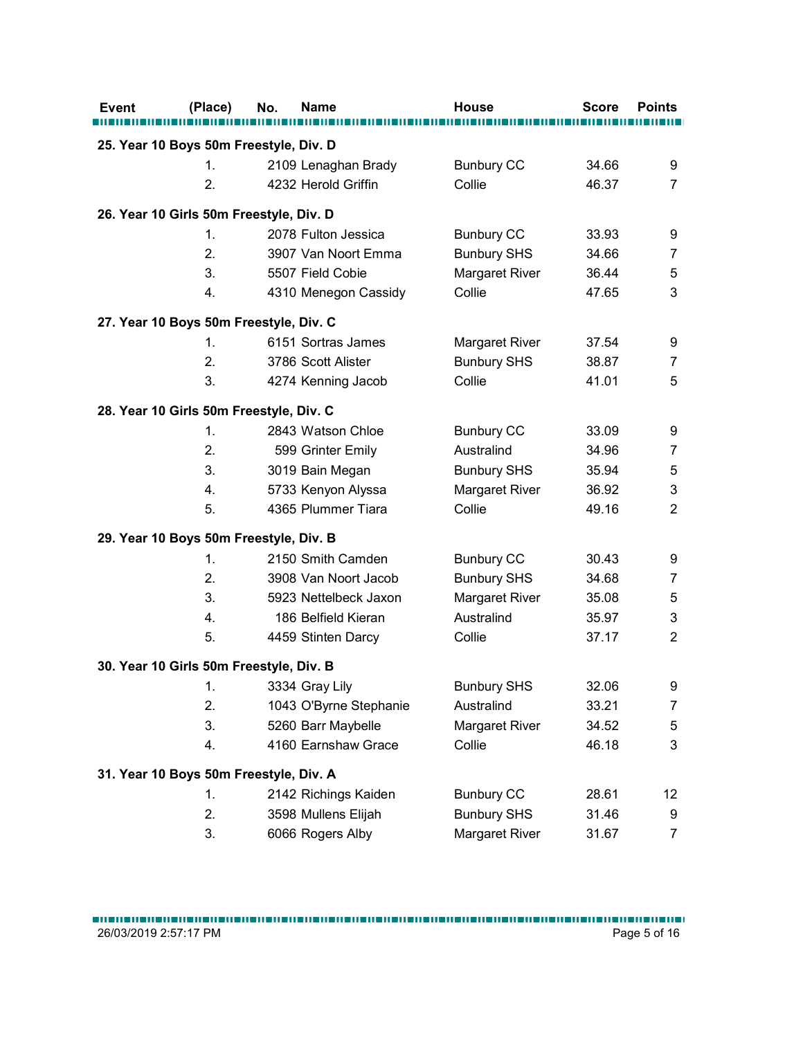| (Place)        | No.<br><b>Name</b>                         | <b>House</b>       | <b>Score</b> | <b>Points</b>             |
|----------------|--------------------------------------------|--------------------|--------------|---------------------------|
|                |                                            |                    |              |                           |
| 1.             | 25. Year 10 Boys 50m Freestyle, Div. D     | <b>Bunbury CC</b>  | 34.66        |                           |
| 2.             | 2109 Lenaghan Brady<br>4232 Herold Griffin | Collie             | 46.37        | 9<br>$\overline{7}$       |
|                |                                            |                    |              |                           |
|                | 26. Year 10 Girls 50m Freestyle, Div. D    |                    |              |                           |
| $\mathbf{1}$ . | 2078 Fulton Jessica                        | <b>Bunbury CC</b>  | 33.93        | 9                         |
| 2.             | 3907 Van Noort Emma                        | <b>Bunbury SHS</b> | 34.66        | $\overline{7}$            |
| 3.             | 5507 Field Cobie                           | Margaret River     | 36.44        | 5                         |
| 4.             | 4310 Menegon Cassidy                       | Collie             | 47.65        | $\sqrt{3}$                |
|                | 27. Year 10 Boys 50m Freestyle, Div. C     |                    |              |                           |
| 1.             | 6151 Sortras James                         | Margaret River     | 37.54        | 9                         |
| 2.             | 3786 Scott Alister                         | <b>Bunbury SHS</b> | 38.87        | $\overline{7}$            |
| 3.             | 4274 Kenning Jacob                         | Collie             | 41.01        | 5                         |
|                |                                            |                    |              |                           |
|                | 28. Year 10 Girls 50m Freestyle, Div. C    |                    |              |                           |
| 1.             | 2843 Watson Chloe                          | <b>Bunbury CC</b>  | 33.09        | 9                         |
| 2.             | 599 Grinter Emily                          | Australind         | 34.96        | $\boldsymbol{7}$          |
| 3.             | 3019 Bain Megan                            | <b>Bunbury SHS</b> | 35.94        | $\sqrt{5}$                |
| 4.             | 5733 Kenyon Alyssa                         | Margaret River     | 36.92        | $\ensuremath{\mathsf{3}}$ |
| 5.             | 4365 Plummer Tiara                         | Collie             | 49.16        | $\overline{2}$            |
|                | 29. Year 10 Boys 50m Freestyle, Div. B     |                    |              |                           |
| 1.             | 2150 Smith Camden                          | <b>Bunbury CC</b>  | 30.43        | 9                         |
| 2.             | 3908 Van Noort Jacob                       | <b>Bunbury SHS</b> | 34.68        | $\overline{7}$            |
| 3.             | 5923 Nettelbeck Jaxon                      | Margaret River     | 35.08        | $\sqrt{5}$                |
| 4.             | 186 Belfield Kieran                        | Australind         | 35.97        | $\sqrt{3}$                |
| 5.             | 4459 Stinten Darcy                         | Collie             | 37.17        | $\sqrt{2}$                |
|                | 30. Year 10 Girls 50m Freestyle, Div. B    |                    |              |                           |
| 1.             | 3334 Gray Lily                             | <b>Bunbury SHS</b> | 32.06        | 9                         |
| 2.             | 1043 O'Byrne Stephanie                     | Australind         | 33.21        | $\overline{7}$            |
| 3.             | 5260 Barr Maybelle                         | Margaret River     | 34.52        | $\sqrt{5}$                |
| 4.             | 4160 Earnshaw Grace                        | Collie             | 46.18        | $\ensuremath{\mathsf{3}}$ |
|                |                                            |                    |              |                           |
|                | 31. Year 10 Boys 50m Freestyle, Div. A     |                    |              |                           |
| 1.             | 2142 Richings Kaiden                       | <b>Bunbury CC</b>  | 28.61        | 12                        |
| 2.             | 3598 Mullens Elijah                        | <b>Bunbury SHS</b> | 31.46        | 9                         |
| 3.             | 6066 Rogers Alby                           | Margaret River     | 31.67        | $\overline{7}$            |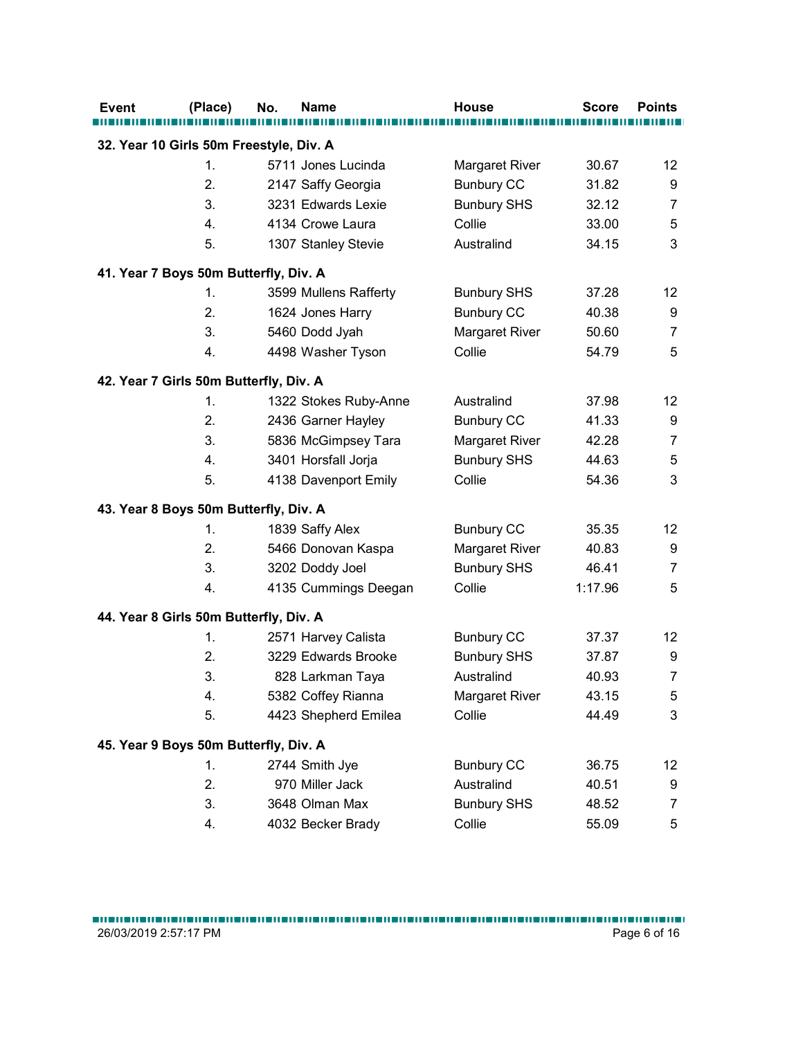|                                        | (Place)        | No.<br><b>Name</b>                      | <b>House</b>       | <b>Score</b> | <b>Points</b>             |
|----------------------------------------|----------------|-----------------------------------------|--------------------|--------------|---------------------------|
|                                        |                | 32. Year 10 Girls 50m Freestyle, Div. A |                    |              |                           |
|                                        | $\mathbf{1}$ . | 5711 Jones Lucinda                      | Margaret River     | 30.67        | 12                        |
|                                        | 2.             | 2147 Saffy Georgia                      | <b>Bunbury CC</b>  | 31.82        | 9                         |
|                                        | 3.             | 3231 Edwards Lexie                      | <b>Bunbury SHS</b> | 32.12        | $\overline{7}$            |
|                                        | 4.             | 4134 Crowe Laura                        | Collie             | 33.00        | 5                         |
|                                        | 5.             | 1307 Stanley Stevie                     | Australind         | 34.15        | 3                         |
| 41. Year 7 Boys 50m Butterfly, Div. A  |                |                                         |                    |              |                           |
|                                        | 1.             | 3599 Mullens Rafferty                   | <b>Bunbury SHS</b> | 37.28        | 12                        |
|                                        | 2.             | 1624 Jones Harry                        | <b>Bunbury CC</b>  | 40.38        | 9                         |
|                                        | 3.             | 5460 Dodd Jyah                          | Margaret River     | 50.60        | $\overline{7}$            |
|                                        | 4.             | 4498 Washer Tyson                       | Collie             | 54.79        | 5                         |
|                                        |                |                                         |                    |              |                           |
| 42. Year 7 Girls 50m Butterfly, Div. A |                |                                         |                    |              |                           |
|                                        | $\mathbf{1}$ . | 1322 Stokes Ruby-Anne                   | Australind         | 37.98        | 12                        |
|                                        | 2.             | 2436 Garner Hayley                      | <b>Bunbury CC</b>  | 41.33        | $\boldsymbol{9}$          |
|                                        | 3.             | 5836 McGimpsey Tara                     | Margaret River     | 42.28        | $\overline{7}$            |
|                                        | 4.             | 3401 Horsfall Jorja                     | <b>Bunbury SHS</b> | 44.63        | $\sqrt{5}$                |
|                                        | 5.             | 4138 Davenport Emily                    | Collie             | 54.36        | $\ensuremath{\mathsf{3}}$ |
| 43. Year 8 Boys 50m Butterfly, Div. A  |                |                                         |                    |              |                           |
|                                        | 1.             | 1839 Saffy Alex                         | <b>Bunbury CC</b>  | 35.35        | 12                        |
|                                        | 2.             | 5466 Donovan Kaspa                      | Margaret River     | 40.83        | 9                         |
|                                        | 3.             | 3202 Doddy Joel                         | <b>Bunbury SHS</b> | 46.41        | $\boldsymbol{7}$          |
|                                        | 4.             | 4135 Cummings Deegan                    | Collie             | 1:17.96      | $\mathbf 5$               |
| 44. Year 8 Girls 50m Butterfly, Div. A |                |                                         |                    |              |                           |
|                                        | 1.             | 2571 Harvey Calista                     | <b>Bunbury CC</b>  | 37.37        | 12                        |
|                                        | 2.             | 3229 Edwards Brooke                     | <b>Bunbury SHS</b> | 37.87        | 9                         |
|                                        | 3.             | 828 Larkman Taya                        | Australind         | 40.93        | $\overline{7}$            |
|                                        | 4.             | 5382 Coffey Rianna                      | Margaret River     | 43.15        | $\sqrt{5}$                |
|                                        | 5.             | 4423 Shepherd Emilea                    | Collie             | 44.49        | $\ensuremath{\mathsf{3}}$ |
|                                        |                |                                         |                    |              |                           |
| 45. Year 9 Boys 50m Butterfly, Div. A  |                |                                         |                    |              |                           |
|                                        | 1.             | 2744 Smith Jye                          | <b>Bunbury CC</b>  | 36.75        | 12                        |
|                                        | 2.             | 970 Miller Jack                         | Australind         | 40.51        | 9                         |
|                                        | 3.             | 3648 Olman Max                          | <b>Bunbury SHS</b> | 48.52        | $\boldsymbol{7}$          |
|                                        | 4.             | 4032 Becker Brady                       | Collie             | 55.09        | 5                         |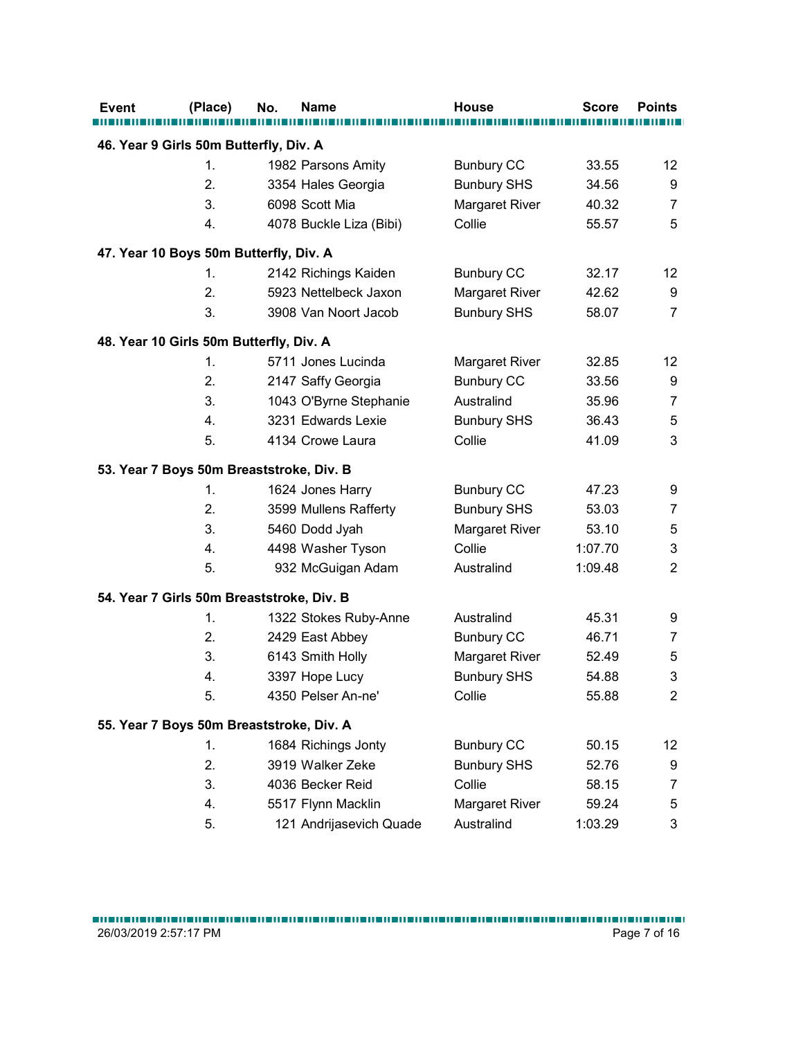|                                        | (Place)  | <b>Name</b><br>No.                           | <b>House</b>                    | <b>Score</b>   | <b>Points</b>             |
|----------------------------------------|----------|----------------------------------------------|---------------------------------|----------------|---------------------------|
|                                        |          |                                              |                                 |                |                           |
| 46. Year 9 Girls 50m Butterfly, Div. A |          |                                              |                                 |                |                           |
|                                        | 1.       | 1982 Parsons Amity                           | <b>Bunbury CC</b>               | 33.55          | 12                        |
|                                        | 2.       | 3354 Hales Georgia                           | <b>Bunbury SHS</b>              | 34.56          | 9                         |
|                                        | 3.       | 6098 Scott Mia                               | Margaret River                  | 40.32          | $\overline{7}$            |
|                                        | 4.       | 4078 Buckle Liza (Bibi)                      | Collie                          | 55.57          | 5                         |
|                                        |          | 47. Year 10 Boys 50m Butterfly, Div. A       |                                 |                |                           |
|                                        | 1.       | 2142 Richings Kaiden                         | <b>Bunbury CC</b>               | 32.17          | 12                        |
|                                        | 2.       | 5923 Nettelbeck Jaxon                        | Margaret River                  | 42.62          | $\boldsymbol{9}$          |
|                                        | 3.       | 3908 Van Noort Jacob                         | <b>Bunbury SHS</b>              | 58.07          | $\overline{7}$            |
|                                        |          |                                              |                                 |                |                           |
|                                        |          | 48. Year 10 Girls 50m Butterfly, Div. A      |                                 |                |                           |
|                                        | 1.<br>2. | 5711 Jones Lucinda                           | Margaret River                  | 32.85          | 12                        |
|                                        | 3.       | 2147 Saffy Georgia                           | <b>Bunbury CC</b><br>Australind | 33.56<br>35.96 | 9<br>$\overline{7}$       |
|                                        | 4.       | 1043 O'Byrne Stephanie<br>3231 Edwards Lexie | <b>Bunbury SHS</b>              | 36.43          | $\sqrt{5}$                |
|                                        | 5.       | 4134 Crowe Laura                             | Collie                          | 41.09          | 3                         |
|                                        |          |                                              |                                 |                |                           |
|                                        |          | 53. Year 7 Boys 50m Breaststroke, Div. B     |                                 |                |                           |
|                                        | 1.       | 1624 Jones Harry                             | <b>Bunbury CC</b>               | 47.23          | 9                         |
|                                        | 2.       | 3599 Mullens Rafferty                        | <b>Bunbury SHS</b>              | 53.03          | $\overline{7}$            |
|                                        | 3.       | 5460 Dodd Jyah                               | Margaret River                  | 53.10          | 5                         |
|                                        | 4.       | 4498 Washer Tyson                            | Collie                          | 1:07.70        | $\ensuremath{\mathsf{3}}$ |
|                                        | 5.       | 932 McGuigan Adam                            | Australind                      | 1:09.48        | $\overline{2}$            |
|                                        |          | 54. Year 7 Girls 50m Breaststroke, Div. B    |                                 |                |                           |
|                                        | 1.       | 1322 Stokes Ruby-Anne                        | Australind                      | 45.31          | 9                         |
|                                        | 2.       | 2429 East Abbey                              | <b>Bunbury CC</b>               | 46.71          | $\overline{7}$            |
|                                        | 3.       | 6143 Smith Holly                             | Margaret River                  | 52.49          | 5                         |
|                                        | 4.       | 3397 Hope Lucy                               | <b>Bunbury SHS</b>              | 54.88          | $\sqrt{3}$                |
|                                        | 5.       | 4350 Pelser An-ne'                           | Collie                          | 55.88          | $\overline{2}$            |
|                                        |          |                                              |                                 |                |                           |
|                                        |          | 55. Year 7 Boys 50m Breaststroke, Div. A     |                                 |                |                           |
|                                        | 1.       | 1684 Richings Jonty                          | <b>Bunbury CC</b>               | 50.15          | 12                        |
|                                        | 2.       | 3919 Walker Zeke                             | <b>Bunbury SHS</b>              | 52.76          | 9                         |
|                                        | 3.       | 4036 Becker Reid                             | Collie                          | 58.15          | $\overline{7}$            |
|                                        | 4.       | 5517 Flynn Macklin                           | Margaret River                  | 59.24          | $\sqrt{5}$                |
|                                        | 5.       | 121 Andrijasevich Quade                      | Australind                      | 1:03.29        | $\mathbf{3}$              |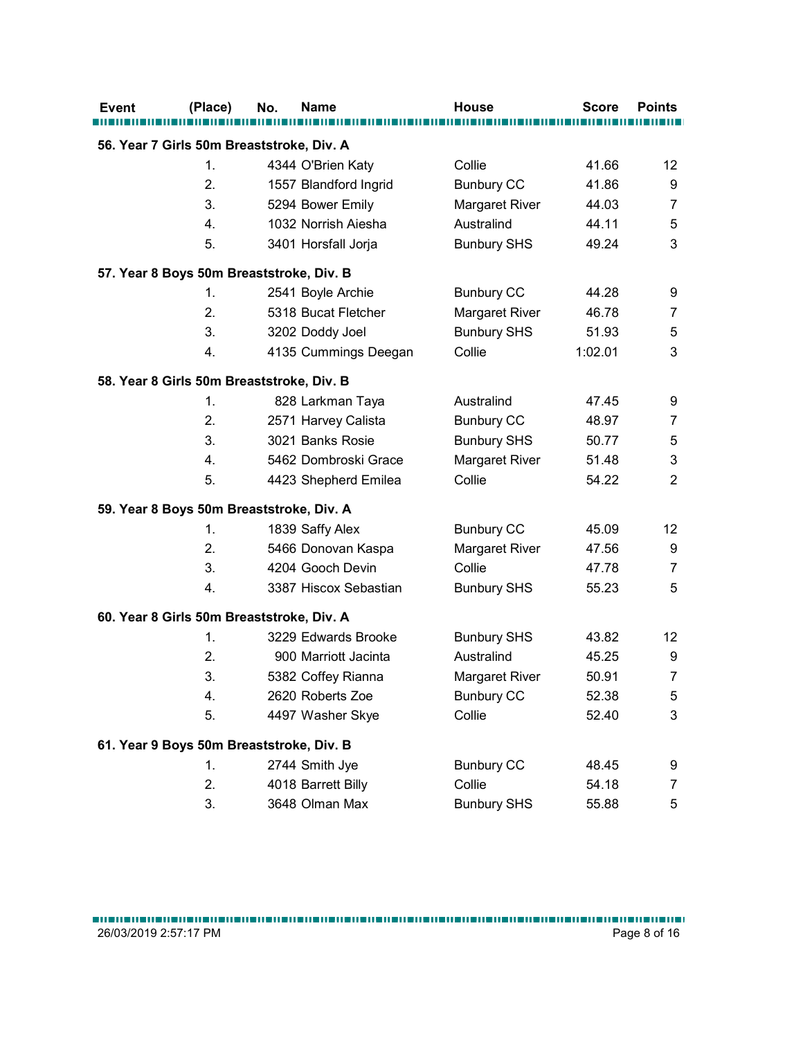| (Place)  | No.<br><b>Name</b>                        | <b>House</b>       | <b>Score</b>   | <b>Points</b>                   |
|----------|-------------------------------------------|--------------------|----------------|---------------------------------|
|          | 56. Year 7 Girls 50m Breaststroke, Div. A |                    |                |                                 |
| 1.       | 4344 O'Brien Katy                         | Collie             | 41.66          | 12                              |
| 2.       | 1557 Blandford Ingrid                     | <b>Bunbury CC</b>  | 41.86          | 9                               |
| 3.       | 5294 Bower Emily                          | Margaret River     | 44.03          | $\overline{7}$                  |
| 4.       | 1032 Norrish Aiesha                       | Australind         | 44.11          | 5                               |
| 5.       | 3401 Horsfall Jorja                       | <b>Bunbury SHS</b> | 49.24          | 3                               |
|          | 57. Year 8 Boys 50m Breaststroke, Div. B  |                    |                |                                 |
| 1.       | 2541 Boyle Archie                         | <b>Bunbury CC</b>  | 44.28          | 9                               |
| 2.       | 5318 Bucat Fletcher                       | Margaret River     | 46.78          | $\overline{7}$                  |
| 3.       | 3202 Doddy Joel                           | <b>Bunbury SHS</b> | 51.93          | 5                               |
| 4.       | 4135 Cummings Deegan                      | Collie             | 1:02.01        | 3                               |
|          | 58. Year 8 Girls 50m Breaststroke, Div. B |                    |                |                                 |
| 1.       | 828 Larkman Taya                          | Australind         | 47.45          | 9                               |
| 2.       | 2571 Harvey Calista                       | <b>Bunbury CC</b>  | 48.97          | $\overline{7}$                  |
| 3.       | 3021 Banks Rosie                          | <b>Bunbury SHS</b> | 50.77          | $\sqrt{5}$                      |
| 4.       | 5462 Dombroski Grace                      | Margaret River     | 51.48          | $\ensuremath{\mathsf{3}}$       |
| 5.       | 4423 Shepherd Emilea                      | Collie             | 54.22          | $\sqrt{2}$                      |
|          |                                           |                    |                |                                 |
|          | 59. Year 8 Boys 50m Breaststroke, Div. A  |                    |                |                                 |
| 1.       | 1839 Saffy Alex                           | <b>Bunbury CC</b>  | 45.09          | 12                              |
| 2.       | 5466 Donovan Kaspa<br>4204 Gooch Devin    | Margaret River     | 47.56          | 9                               |
| 3.<br>4. |                                           | Collie             | 47.78<br>55.23 | $\boldsymbol{7}$<br>$\mathbf 5$ |
|          | 3387 Hiscox Sebastian                     | <b>Bunbury SHS</b> |                |                                 |
|          | 60. Year 8 Girls 50m Breaststroke, Div. A |                    |                |                                 |
| 1.       | 3229 Edwards Brooke                       | <b>Bunbury SHS</b> | 43.82          | 12                              |
| 2.       | 900 Marriott Jacinta                      | Australind         | 45.25          | 9                               |
| 3.       | 5382 Coffey Rianna                        | Margaret River     | 50.91          | $\overline{7}$                  |
| 4.       | 2620 Roberts Zoe                          | <b>Bunbury CC</b>  | 52.38          | $\mathbf 5$                     |
| 5.       | 4497 Washer Skye                          | Collie             | 52.40          | $\ensuremath{\mathsf{3}}$       |
|          | 61. Year 9 Boys 50m Breaststroke, Div. B  |                    |                |                                 |
| 1.       | 2744 Smith Jye                            | <b>Bunbury CC</b>  | 48.45          | 9                               |
| 2.       | 4018 Barrett Billy                        | Collie             | 54.18          | $\overline{7}$                  |
| 3.       | 3648 Olman Max                            | <b>Bunbury SHS</b> | 55.88          | $\sqrt{5}$                      |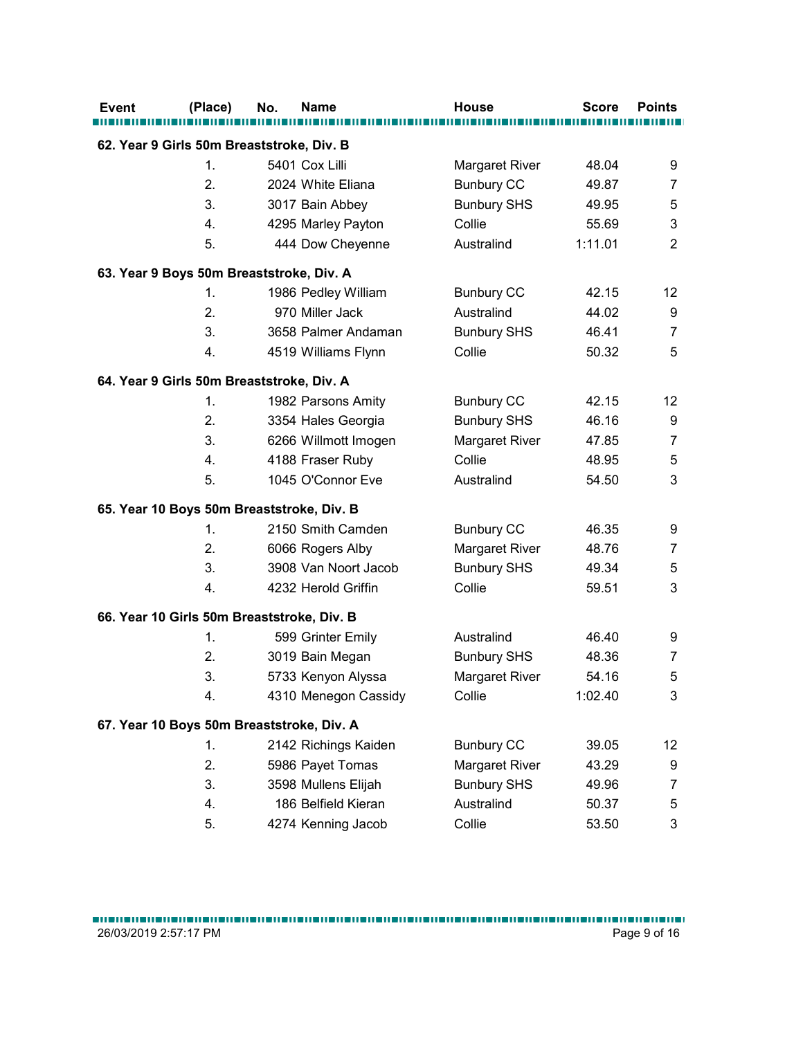| (Place) | <b>Name</b><br>No.                         | <b>House</b>       | <b>Score</b> | <b>Points</b>    |
|---------|--------------------------------------------|--------------------|--------------|------------------|
|         | 62. Year 9 Girls 50m Breaststroke, Div. B  |                    |              |                  |
| 1.      | 5401 Cox Lilli                             | Margaret River     | 48.04        | 9                |
| 2.      | 2024 White Eliana                          | <b>Bunbury CC</b>  | 49.87        | $\overline{7}$   |
| 3.      | 3017 Bain Abbey                            | <b>Bunbury SHS</b> | 49.95        | 5                |
| 4.      | 4295 Marley Payton                         | Collie             | 55.69        | 3                |
| 5.      | 444 Dow Cheyenne                           | Australind         | 1:11.01      | $\overline{2}$   |
|         | 63. Year 9 Boys 50m Breaststroke, Div. A   |                    |              |                  |
| 1.      | 1986 Pedley William                        | <b>Bunbury CC</b>  | 42.15        | 12               |
| 2.      | 970 Miller Jack                            | Australind         | 44.02        | 9                |
| 3.      | 3658 Palmer Andaman                        | <b>Bunbury SHS</b> | 46.41        | $\overline{7}$   |
| 4.      | 4519 Williams Flynn                        | Collie             | 50.32        | 5                |
|         |                                            |                    |              |                  |
|         | 64. Year 9 Girls 50m Breaststroke, Div. A  |                    |              |                  |
| 1.      | 1982 Parsons Amity                         | <b>Bunbury CC</b>  | 42.15        | 12               |
| 2.      | 3354 Hales Georgia                         | <b>Bunbury SHS</b> | 46.16        | $\boldsymbol{9}$ |
| 3.      | 6266 Willmott Imogen                       | Margaret River     | 47.85        | $\overline{7}$   |
| 4.      | 4188 Fraser Ruby                           | Collie             | 48.95        | $\sqrt{5}$       |
| 5.      | 1045 O'Connor Eve                          | Australind         | 54.50        | $\mathsf 3$      |
|         | 65. Year 10 Boys 50m Breaststroke, Div. B  |                    |              |                  |
| 1.      | 2150 Smith Camden                          | <b>Bunbury CC</b>  | 46.35        | 9                |
| 2.      | 6066 Rogers Alby                           | Margaret River     | 48.76        | $\overline{7}$   |
| 3.      | 3908 Van Noort Jacob                       | <b>Bunbury SHS</b> | 49.34        | $\mathbf 5$      |
| 4.      | 4232 Herold Griffin                        | Collie             | 59.51        | $\mathfrak{S}$   |
|         | 66. Year 10 Girls 50m Breaststroke, Div. B |                    |              |                  |
| 1.      | 599 Grinter Emily                          | Australind         | 46.40        | 9                |
| 2.      | 3019 Bain Megan                            | <b>Bunbury SHS</b> | 48.36        | $\overline{7}$   |
| 3.      | 5733 Kenyon Alyssa                         | Margaret River     | 54.16        | $\sqrt{5}$       |
| 4.      | 4310 Menegon Cassidy                       | Collie             | 1:02.40      | $\mathsf 3$      |
|         | 67. Year 10 Boys 50m Breaststroke, Div. A  |                    |              |                  |
| 1.      | 2142 Richings Kaiden                       | <b>Bunbury CC</b>  | 39.05        | 12               |
| 2.      | 5986 Payet Tomas                           | Margaret River     | 43.29        | 9                |
| 3.      | 3598 Mullens Elijah                        | <b>Bunbury SHS</b> | 49.96        | $\overline{7}$   |
| 4.      | 186 Belfield Kieran                        | Australind         | 50.37        | $\mathbf 5$      |
| 5.      | 4274 Kenning Jacob                         | Collie             | 53.50        | $\mathfrak{S}$   |
|         |                                            |                    |              |                  |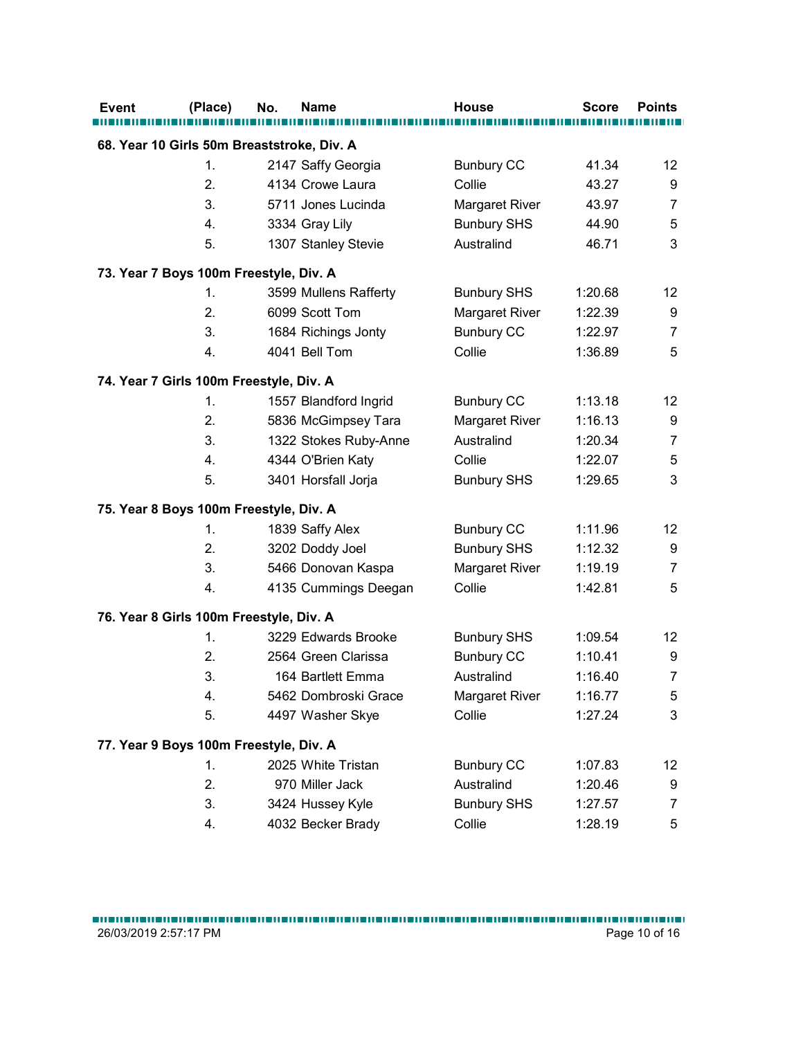| <b>Event</b>                               | (Place)  | No. | <b>Name</b>                              | House                | <b>Score</b>       | <b>Points</b>  |
|--------------------------------------------|----------|-----|------------------------------------------|----------------------|--------------------|----------------|
| 68. Year 10 Girls 50m Breaststroke, Div. A |          |     |                                          |                      |                    |                |
|                                            | 1.       |     | 2147 Saffy Georgia                       | <b>Bunbury CC</b>    | 41.34              | 12             |
|                                            | 2.       |     | 4134 Crowe Laura                         | Collie               | 43.27              | 9              |
|                                            | 3.       |     | 5711 Jones Lucinda                       | Margaret River       | 43.97              | 7              |
|                                            | 4.       |     | 3334 Gray Lily                           | <b>Bunbury SHS</b>   | 44.90              | 5              |
|                                            | 5.       |     | 1307 Stanley Stevie                      | Australind           | 46.71              | 3              |
| 73. Year 7 Boys 100m Freestyle, Div. A     |          |     |                                          |                      |                    |                |
|                                            | 1.       |     | 3599 Mullens Rafferty                    | <b>Bunbury SHS</b>   | 1:20.68            | 12             |
|                                            | 2.       |     | 6099 Scott Tom                           | Margaret River       | 1:22.39            | 9              |
|                                            | 3.       |     | 1684 Richings Jonty                      | <b>Bunbury CC</b>    | 1:22.97            | $\overline{7}$ |
|                                            | 4.       |     | 4041 Bell Tom                            | Collie               | 1:36.89            | 5              |
|                                            |          |     |                                          |                      |                    |                |
| 74. Year 7 Girls 100m Freestyle, Div. A    |          |     |                                          |                      |                    |                |
|                                            | 1.       |     | 1557 Blandford Ingrid                    | <b>Bunbury CC</b>    | 1:13.18            | 12             |
|                                            | 2.       |     | 5836 McGimpsey Tara                      | Margaret River       | 1:16.13            | 9              |
|                                            | 3.       |     | 1322 Stokes Ruby-Anne                    | Australind<br>Collie | 1:20.34            | 7              |
|                                            | 4.<br>5. |     | 4344 O'Brien Katy<br>3401 Horsfall Jorja | <b>Bunbury SHS</b>   | 1:22.07<br>1:29.65 | 5<br>3         |
|                                            |          |     |                                          |                      |                    |                |
| 75. Year 8 Boys 100m Freestyle, Div. A     |          |     |                                          |                      |                    |                |
|                                            | 1.       |     | 1839 Saffy Alex                          | <b>Bunbury CC</b>    | 1:11.96            | 12             |
|                                            | 2.       |     | 3202 Doddy Joel                          | <b>Bunbury SHS</b>   | 1:12.32            | 9              |
|                                            | 3.       |     | 5466 Donovan Kaspa                       | Margaret River       | 1:19.19            | $\overline{7}$ |
|                                            | 4.       |     | 4135 Cummings Deegan                     | Collie               | 1:42.81            | 5              |
| 76. Year 8 Girls 100m Freestyle, Div. A    |          |     |                                          |                      |                    |                |
|                                            | 1.       |     | 3229 Edwards Brooke                      | <b>Bunbury SHS</b>   | 1:09.54            | 12             |
|                                            | 2.       |     | 2564 Green Clarissa                      | <b>Bunbury CC</b>    | 1:10.41            | 9              |
|                                            | 3.       |     | 164 Bartlett Emma                        | Australind           | 1:16.40            | 7              |
|                                            | 4.       |     | 5462 Dombroski Grace                     | Margaret River       | 1:16.77            | 5              |
|                                            | 5.       |     | 4497 Washer Skye                         | Collie               | 1:27.24            | 3              |
| 77. Year 9 Boys 100m Freestyle, Div. A     |          |     |                                          |                      |                    |                |
|                                            | 1.       |     | 2025 White Tristan                       | <b>Bunbury CC</b>    | 1:07.83            | 12             |
|                                            | 2.       |     | 970 Miller Jack                          | Australind           | 1:20.46            | 9              |
|                                            | 3.       |     | 3424 Hussey Kyle                         | <b>Bunbury SHS</b>   | 1:27.57            | 7              |
|                                            | 4.       |     | 4032 Becker Brady                        | Collie               | 1:28.19            | 5              |
|                                            |          |     |                                          |                      |                    |                |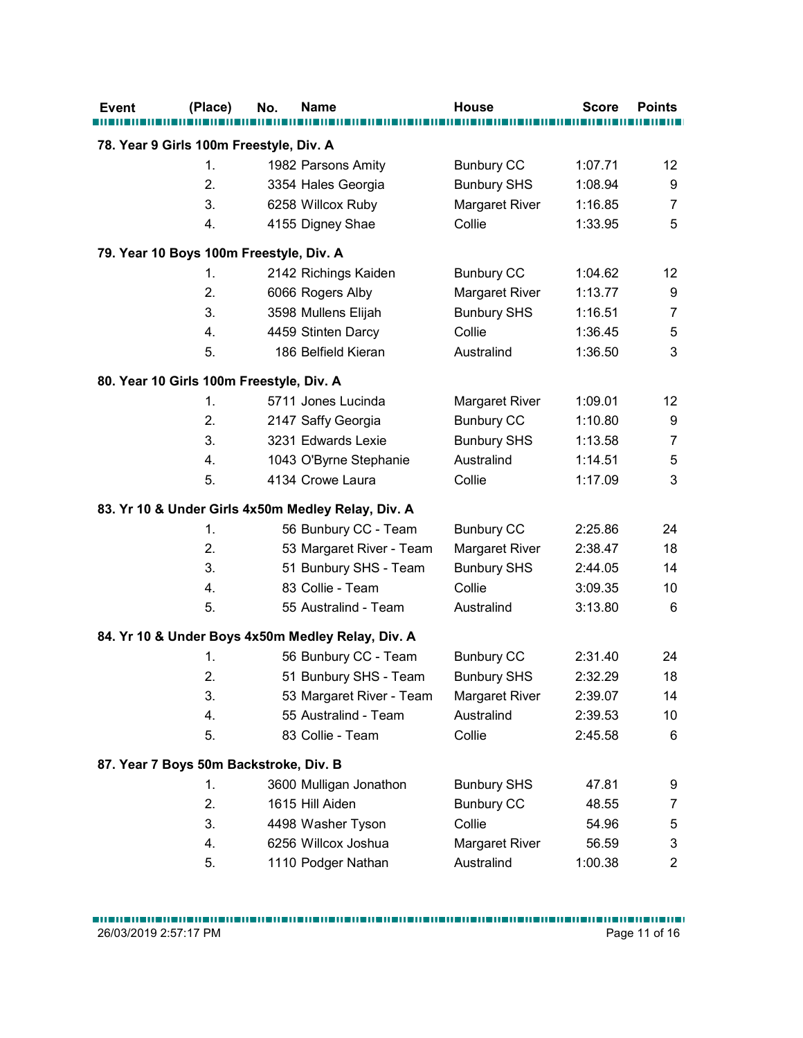| Event                                    | (Place)  | No. | Name                                               | <b>House</b>             | <b>Score</b>       | <b>Points</b>  |
|------------------------------------------|----------|-----|----------------------------------------------------|--------------------------|--------------------|----------------|
|                                          |          |     |                                                    |                          |                    |                |
| 78. Year 9 Girls 100m Freestyle, Div. A  |          |     |                                                    |                          |                    |                |
|                                          | 1.       |     | 1982 Parsons Amity                                 | <b>Bunbury CC</b>        | 1:07.71            | 12             |
|                                          | 2.       |     | 3354 Hales Georgia                                 | <b>Bunbury SHS</b>       | 1:08.94            | 9              |
|                                          | 3.<br>4. |     | 6258 Willcox Ruby                                  | Margaret River<br>Collie | 1:16.85<br>1:33.95 | 7<br>5         |
|                                          |          |     | 4155 Digney Shae                                   |                          |                    |                |
| 79. Year 10 Boys 100m Freestyle, Div. A  |          |     |                                                    |                          |                    |                |
|                                          | 1.       |     | 2142 Richings Kaiden                               | <b>Bunbury CC</b>        | 1:04.62            | 12             |
|                                          | 2.       |     | 6066 Rogers Alby                                   | Margaret River           | 1:13.77            | 9              |
|                                          | 3.       |     | 3598 Mullens Elijah                                | <b>Bunbury SHS</b>       | 1:16.51            | 7              |
|                                          | 4.       |     | 4459 Stinten Darcy                                 | Collie                   | 1:36.45            | 5              |
|                                          | 5.       |     | 186 Belfield Kieran                                | Australind               | 1:36.50            | 3              |
| 80. Year 10 Girls 100m Freestyle, Div. A |          |     |                                                    |                          |                    |                |
|                                          | 1.       |     | 5711 Jones Lucinda                                 | <b>Margaret River</b>    | 1:09.01            | 12             |
|                                          | 2.       |     | 2147 Saffy Georgia                                 | <b>Bunbury CC</b>        | 1:10.80            | 9              |
|                                          | 3.       |     | 3231 Edwards Lexie                                 | <b>Bunbury SHS</b>       | 1:13.58            | 7              |
|                                          | 4.       |     | 1043 O'Byrne Stephanie                             | Australind               | 1:14.51            | 5              |
|                                          | 5.       |     | 4134 Crowe Laura                                   | Collie                   | 1:17.09            | 3              |
|                                          |          |     | 83. Yr 10 & Under Girls 4x50m Medley Relay, Div. A |                          |                    |                |
|                                          | 1.       |     | 56 Bunbury CC - Team                               | <b>Bunbury CC</b>        | 2:25.86            | 24             |
|                                          | 2.       |     | 53 Margaret River - Team                           | Margaret River           | 2:38.47            | 18             |
|                                          | 3.       |     | 51 Bunbury SHS - Team                              | <b>Bunbury SHS</b>       | 2:44.05            | 14             |
|                                          | 4.       |     | 83 Collie - Team                                   | Collie                   | 3:09.35            | $10$           |
|                                          | 5.       |     | 55 Australind - Team                               | Australind               | 3:13.80            | 6              |
|                                          |          |     |                                                    |                          |                    |                |
|                                          |          |     | 84. Yr 10 & Under Boys 4x50m Medley Relay, Div. A  |                          |                    |                |
|                                          | 1.       |     | 56 Bunbury CC - Team                               | <b>Bunbury CC</b>        | 2:31.40            | 24             |
|                                          | 2.       |     | 51 Bunbury SHS - Team                              | <b>Bunbury SHS</b>       | 2:32.29            | 18             |
|                                          | 3.       |     | 53 Margaret River - Team                           | Margaret River           | 2:39.07            | 14             |
|                                          | 4.       |     | 55 Australind - Team                               | Australind               | 2:39.53            | $10$           |
|                                          | 5.       |     | 83 Collie - Team                                   | Collie                   | 2:45.58            | 6              |
| 87. Year 7 Boys 50m Backstroke, Div. B   |          |     |                                                    |                          |                    |                |
|                                          | 1.       |     | 3600 Mulligan Jonathon                             | <b>Bunbury SHS</b>       | 47.81              | 9              |
|                                          | 2.       |     | 1615 Hill Aiden                                    | <b>Bunbury CC</b>        | 48.55              | $\overline{7}$ |
|                                          | 3.       |     | 4498 Washer Tyson                                  | Collie                   | 54.96              | 5              |
|                                          | 4.       |     | 6256 Willcox Joshua                                | Margaret River           | 56.59              | 3              |
|                                          | 5.       |     | 1110 Podger Nathan                                 | Australind               | 1:00.38            | $\overline{2}$ |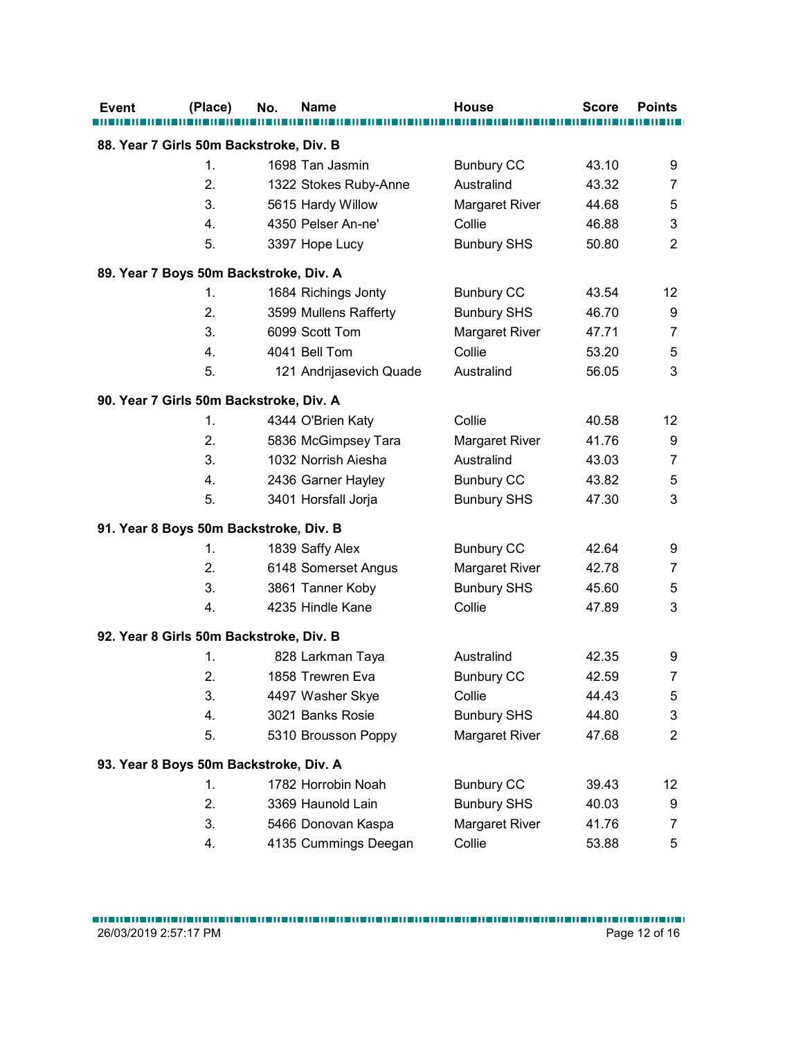| 88. Year 7 Girls 50m Backstroke, Div. B<br>1.<br>2.<br>3.<br>4.<br>5.<br>89. Year 7 Boys 50m Backstroke, Div. A<br>1.<br>2.<br>3.<br>4.<br>5.<br>90. Year 7 Girls 50m Backstroke, Div. A<br>1.<br>2. |          | 1698 Tan Jasmin<br>1322 Stokes Ruby-Anne<br>5615 Hardy Willow<br>4350 Pelser An-ne'<br>3397 Hope Lucy<br>1684 Richings Jonty<br>3599 Mullens Rafferty<br>6099 Scott Tom<br>4041 Bell Tom | <b>Bunbury CC</b><br>Australind<br>Margaret River<br>Collie<br><b>Bunbury SHS</b><br><b>Bunbury CC</b><br><b>Bunbury SHS</b><br>Margaret River                                                                                                                                                                                                                                                                | 43.10<br>43.32<br>44.68<br>46.88<br>50.80<br>43.54<br>46.70 | 9<br>$\overline{7}$<br>5<br>3<br>$\overline{2}$ |
|------------------------------------------------------------------------------------------------------------------------------------------------------------------------------------------------------|----------|------------------------------------------------------------------------------------------------------------------------------------------------------------------------------------------|---------------------------------------------------------------------------------------------------------------------------------------------------------------------------------------------------------------------------------------------------------------------------------------------------------------------------------------------------------------------------------------------------------------|-------------------------------------------------------------|-------------------------------------------------|
|                                                                                                                                                                                                      |          |                                                                                                                                                                                          |                                                                                                                                                                                                                                                                                                                                                                                                               |                                                             |                                                 |
|                                                                                                                                                                                                      |          |                                                                                                                                                                                          |                                                                                                                                                                                                                                                                                                                                                                                                               |                                                             |                                                 |
|                                                                                                                                                                                                      |          |                                                                                                                                                                                          |                                                                                                                                                                                                                                                                                                                                                                                                               |                                                             |                                                 |
|                                                                                                                                                                                                      |          |                                                                                                                                                                                          |                                                                                                                                                                                                                                                                                                                                                                                                               |                                                             |                                                 |
|                                                                                                                                                                                                      |          |                                                                                                                                                                                          |                                                                                                                                                                                                                                                                                                                                                                                                               |                                                             |                                                 |
|                                                                                                                                                                                                      |          |                                                                                                                                                                                          |                                                                                                                                                                                                                                                                                                                                                                                                               |                                                             |                                                 |
|                                                                                                                                                                                                      |          |                                                                                                                                                                                          |                                                                                                                                                                                                                                                                                                                                                                                                               |                                                             |                                                 |
|                                                                                                                                                                                                      |          |                                                                                                                                                                                          |                                                                                                                                                                                                                                                                                                                                                                                                               |                                                             |                                                 |
|                                                                                                                                                                                                      |          |                                                                                                                                                                                          |                                                                                                                                                                                                                                                                                                                                                                                                               |                                                             | 12                                              |
|                                                                                                                                                                                                      |          |                                                                                                                                                                                          |                                                                                                                                                                                                                                                                                                                                                                                                               | 47.71                                                       | 9<br>$\overline{7}$                             |
|                                                                                                                                                                                                      |          |                                                                                                                                                                                          | Collie                                                                                                                                                                                                                                                                                                                                                                                                        | 53.20                                                       | 5                                               |
|                                                                                                                                                                                                      |          | 121 Andrijasevich Quade                                                                                                                                                                  | Australind                                                                                                                                                                                                                                                                                                                                                                                                    | 56.05                                                       | 3                                               |
|                                                                                                                                                                                                      |          |                                                                                                                                                                                          |                                                                                                                                                                                                                                                                                                                                                                                                               |                                                             |                                                 |
|                                                                                                                                                                                                      |          |                                                                                                                                                                                          |                                                                                                                                                                                                                                                                                                                                                                                                               |                                                             |                                                 |
|                                                                                                                                                                                                      |          | 4344 O'Brien Katy                                                                                                                                                                        | Collie                                                                                                                                                                                                                                                                                                                                                                                                        | 40.58                                                       | 12                                              |
|                                                                                                                                                                                                      |          | 5836 McGimpsey Tara                                                                                                                                                                      | Margaret River                                                                                                                                                                                                                                                                                                                                                                                                | 41.76                                                       | 9                                               |
| 3.                                                                                                                                                                                                   |          | 1032 Norrish Aiesha                                                                                                                                                                      | Australind                                                                                                                                                                                                                                                                                                                                                                                                    | 43.03                                                       | $\overline{7}$                                  |
| 4.<br>5.                                                                                                                                                                                             |          | 2436 Garner Hayley<br>3401 Horsfall Jorja                                                                                                                                                | <b>Bunbury CC</b>                                                                                                                                                                                                                                                                                                                                                                                             | 43.82                                                       | 5<br>3                                          |
|                                                                                                                                                                                                      |          |                                                                                                                                                                                          | <b>Bunbury SHS</b>                                                                                                                                                                                                                                                                                                                                                                                            | 47.30                                                       |                                                 |
|                                                                                                                                                                                                      |          |                                                                                                                                                                                          |                                                                                                                                                                                                                                                                                                                                                                                                               |                                                             |                                                 |
| 1.                                                                                                                                                                                                   |          |                                                                                                                                                                                          | <b>Bunbury CC</b>                                                                                                                                                                                                                                                                                                                                                                                             | 42.64                                                       | 9                                               |
|                                                                                                                                                                                                      |          |                                                                                                                                                                                          | Margaret River                                                                                                                                                                                                                                                                                                                                                                                                | 42.78                                                       | 7                                               |
| 3.                                                                                                                                                                                                   |          |                                                                                                                                                                                          |                                                                                                                                                                                                                                                                                                                                                                                                               | 45.60                                                       | 5                                               |
|                                                                                                                                                                                                      |          |                                                                                                                                                                                          |                                                                                                                                                                                                                                                                                                                                                                                                               |                                                             | 3                                               |
|                                                                                                                                                                                                      |          |                                                                                                                                                                                          |                                                                                                                                                                                                                                                                                                                                                                                                               |                                                             |                                                 |
| 1.                                                                                                                                                                                                   |          |                                                                                                                                                                                          | Australind                                                                                                                                                                                                                                                                                                                                                                                                    | 42.35                                                       | 9                                               |
| 2.                                                                                                                                                                                                   |          |                                                                                                                                                                                          | <b>Bunbury CC</b>                                                                                                                                                                                                                                                                                                                                                                                             | 42.59                                                       | 7                                               |
| 3.                                                                                                                                                                                                   |          |                                                                                                                                                                                          | Collie                                                                                                                                                                                                                                                                                                                                                                                                        | 44.43                                                       | 5                                               |
| 4.                                                                                                                                                                                                   |          |                                                                                                                                                                                          | <b>Bunbury SHS</b>                                                                                                                                                                                                                                                                                                                                                                                            | 44.80                                                       | 3                                               |
| 5.                                                                                                                                                                                                   |          |                                                                                                                                                                                          | Margaret River                                                                                                                                                                                                                                                                                                                                                                                                | 47.68                                                       | $\overline{2}$                                  |
|                                                                                                                                                                                                      |          |                                                                                                                                                                                          |                                                                                                                                                                                                                                                                                                                                                                                                               |                                                             |                                                 |
| 1.                                                                                                                                                                                                   |          |                                                                                                                                                                                          |                                                                                                                                                                                                                                                                                                                                                                                                               | 39.43                                                       | 12                                              |
| 2.                                                                                                                                                                                                   |          |                                                                                                                                                                                          | <b>Bunbury SHS</b>                                                                                                                                                                                                                                                                                                                                                                                            | 40.03                                                       | 9                                               |
| 3.                                                                                                                                                                                                   |          |                                                                                                                                                                                          | Margaret River                                                                                                                                                                                                                                                                                                                                                                                                | 41.76                                                       | $\overline{7}$                                  |
| 4.                                                                                                                                                                                                   |          |                                                                                                                                                                                          | Collie                                                                                                                                                                                                                                                                                                                                                                                                        | 53.88                                                       | 5                                               |
|                                                                                                                                                                                                      | 2.<br>4. |                                                                                                                                                                                          | 91. Year 8 Boys 50m Backstroke, Div. B<br>1839 Saffy Alex<br>6148 Somerset Angus<br>3861 Tanner Koby<br>4235 Hindle Kane<br>92. Year 8 Girls 50m Backstroke, Div. B<br>828 Larkman Taya<br>1858 Trewren Eva<br>4497 Washer Skye<br>3021 Banks Rosie<br>5310 Brousson Poppy<br>93. Year 8 Boys 50m Backstroke, Div. A<br>1782 Horrobin Noah<br>3369 Haunold Lain<br>5466 Donovan Kaspa<br>4135 Cummings Deegan | <b>Bunbury SHS</b><br>Collie<br><b>Bunbury CC</b>           | 47.89                                           |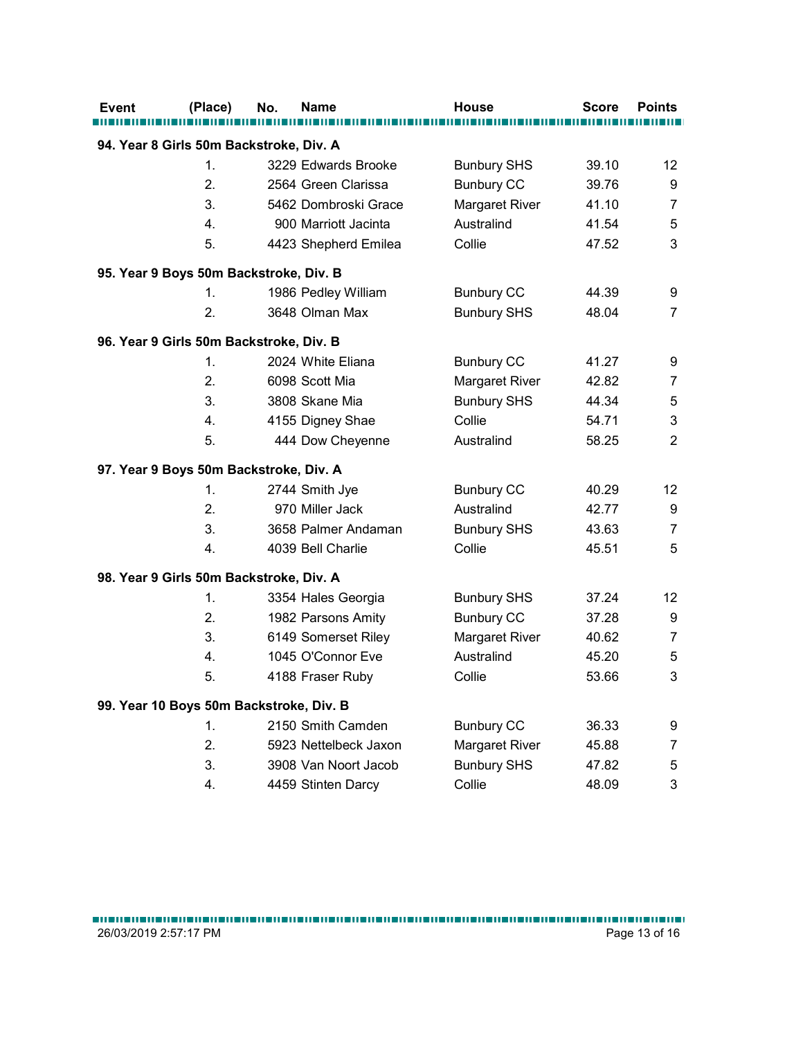|                                         | (Place) | No. | <b>Name</b>           | <b>House</b>       | <b>Score</b> | <b>Points</b>  |
|-----------------------------------------|---------|-----|-----------------------|--------------------|--------------|----------------|
| 94. Year 8 Girls 50m Backstroke, Div. A |         |     |                       |                    |              |                |
|                                         | 1.      |     | 3229 Edwards Brooke   | <b>Bunbury SHS</b> | 39.10        | 12             |
|                                         | 2.      |     | 2564 Green Clarissa   | <b>Bunbury CC</b>  | 39.76        | 9              |
|                                         | 3.      |     | 5462 Dombroski Grace  | Margaret River     | 41.10        | 7              |
|                                         | 4.      |     | 900 Marriott Jacinta  | Australind         | 41.54        | 5              |
|                                         | 5.      |     | 4423 Shepherd Emilea  | Collie             | 47.52        | 3              |
| 95. Year 9 Boys 50m Backstroke, Div. B  |         |     |                       |                    |              |                |
|                                         | 1.      |     | 1986 Pedley William   | <b>Bunbury CC</b>  | 44.39        | 9              |
|                                         | 2.      |     | 3648 Olman Max        | <b>Bunbury SHS</b> | 48.04        | 7              |
| 96. Year 9 Girls 50m Backstroke, Div. B |         |     |                       |                    |              |                |
|                                         | 1.      |     | 2024 White Eliana     | <b>Bunbury CC</b>  | 41.27        | 9              |
|                                         | 2.      |     | 6098 Scott Mia        | Margaret River     | 42.82        | 7              |
|                                         | 3.      |     | 3808 Skane Mia        | <b>Bunbury SHS</b> | 44.34        | 5              |
|                                         | 4.      |     | 4155 Digney Shae      | Collie             | 54.71        | 3              |
|                                         | 5.      |     | 444 Dow Cheyenne      | Australind         | 58.25        | $\overline{c}$ |
| 97. Year 9 Boys 50m Backstroke, Div. A  |         |     |                       |                    |              |                |
|                                         | 1.      |     | 2744 Smith Jye        | <b>Bunbury CC</b>  | 40.29        | 12             |
|                                         | 2.      |     | 970 Miller Jack       | Australind         | 42.77        | 9              |
|                                         | 3.      |     | 3658 Palmer Andaman   | <b>Bunbury SHS</b> | 43.63        | $\overline{7}$ |
|                                         | 4.      |     | 4039 Bell Charlie     | Collie             | 45.51        | 5              |
| 98. Year 9 Girls 50m Backstroke, Div. A |         |     |                       |                    |              |                |
|                                         | 1.      |     | 3354 Hales Georgia    | <b>Bunbury SHS</b> | 37.24        | 12             |
|                                         | 2.      |     | 1982 Parsons Amity    | <b>Bunbury CC</b>  | 37.28        | 9              |
|                                         | 3.      |     | 6149 Somerset Riley   | Margaret River     | 40.62        | 7              |
|                                         | 4.      |     | 1045 O'Connor Eve     | Australind         | 45.20        | 5              |
|                                         | 5.      |     | 4188 Fraser Ruby      | Collie             | 53.66        | 3              |
| 99. Year 10 Boys 50m Backstroke, Div. B |         |     |                       |                    |              |                |
|                                         | 1.      |     | 2150 Smith Camden     | <b>Bunbury CC</b>  | 36.33        | 9              |
|                                         | 2.      |     | 5923 Nettelbeck Jaxon | Margaret River     | 45.88        | 7              |
|                                         | 3.      |     | 3908 Van Noort Jacob  | <b>Bunbury SHS</b> | 47.82        | 5              |
|                                         | 4.      |     | 4459 Stinten Darcy    | Collie             | 48.09        | 3              |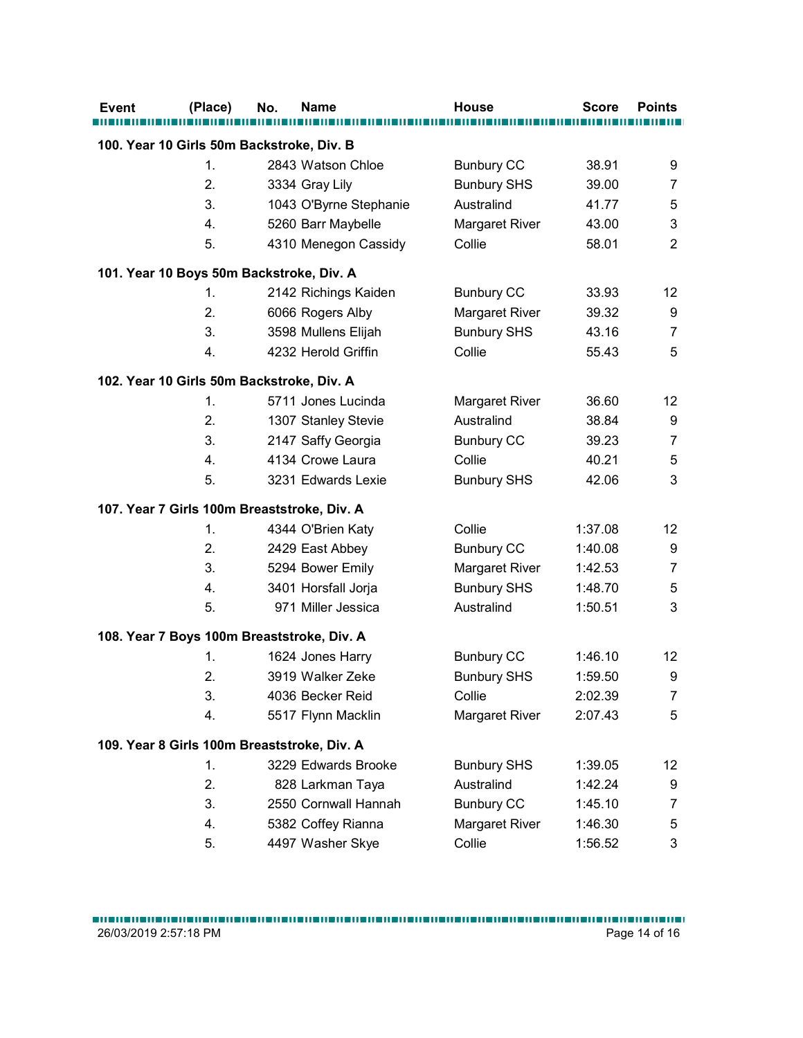| Event | (Place)        | No.<br>Name                                 | <b>House</b>                         | <b>Score</b>       | <b>Points</b>       |
|-------|----------------|---------------------------------------------|--------------------------------------|--------------------|---------------------|
|       |                | 100. Year 10 Girls 50m Backstroke, Div. B   |                                      |                    |                     |
|       | $\mathbf{1}$ . | 2843 Watson Chloe                           | <b>Bunbury CC</b>                    | 38.91              | 9                   |
|       | 2.             | 3334 Gray Lily                              | <b>Bunbury SHS</b>                   | 39.00              | $\overline{7}$      |
|       | 3.             | 1043 O'Byrne Stephanie                      | Australind                           | 41.77              | 5                   |
|       | 4.             | 5260 Barr Maybelle                          | Margaret River                       | 43.00              | 3                   |
|       | 5.             | 4310 Menegon Cassidy                        | Collie                               | 58.01              | 2                   |
|       |                | 101. Year 10 Boys 50m Backstroke, Div. A    |                                      |                    |                     |
|       | 1.             | 2142 Richings Kaiden                        | <b>Bunbury CC</b>                    | 33.93              | 12                  |
|       | 2.             | 6066 Rogers Alby                            | Margaret River                       | 39.32              | 9                   |
|       | 3.             | 3598 Mullens Elijah                         | <b>Bunbury SHS</b>                   | 43.16              | $\overline{7}$      |
|       | 4.             | 4232 Herold Griffin                         | Collie                               | 55.43              | 5                   |
|       |                | 102. Year 10 Girls 50m Backstroke, Div. A   |                                      |                    |                     |
|       | 1.             | 5711 Jones Lucinda                          | <b>Margaret River</b>                | 36.60              | 12                  |
|       | 2.             | 1307 Stanley Stevie                         | Australind                           | 38.84              | 9                   |
|       | 3.             | 2147 Saffy Georgia                          | <b>Bunbury CC</b>                    | 39.23              | 7                   |
|       | 4.             | 4134 Crowe Laura                            | Collie                               | 40.21              | 5                   |
|       | 5.             | 3231 Edwards Lexie                          | <b>Bunbury SHS</b>                   | 42.06              | 3                   |
|       |                |                                             |                                      |                    |                     |
|       |                | 107. Year 7 Girls 100m Breaststroke, Div. A |                                      |                    |                     |
|       | 1.             | 4344 O'Brien Katy                           | Collie                               | 1:37.08            | 12                  |
|       | 2.<br>3.       | 2429 East Abbey                             | <b>Bunbury CC</b>                    | 1:40.08<br>1:42.53 | 9                   |
|       | 4.             | 5294 Bower Emily<br>3401 Horsfall Jorja     | Margaret River<br><b>Bunbury SHS</b> | 1:48.70            | $\overline{7}$<br>5 |
|       | 5.             | 971 Miller Jessica                          | Australind                           | 1:50.51            | 3                   |
|       |                |                                             |                                      |                    |                     |
|       |                | 108. Year 7 Boys 100m Breaststroke, Div. A  |                                      |                    |                     |
|       | 1.             | 1624 Jones Harry                            | <b>Bunbury CC</b>                    | 1:46.10            | 12                  |
|       | 2.             | 3919 Walker Zeke                            | <b>Bunbury SHS</b>                   | 1:59.50            | 9                   |
|       | 3.             | 4036 Becker Reid                            | Collie                               | 2:02.39            | $\overline{7}$      |
|       | 4.             | 5517 Flynn Macklin                          | Margaret River                       | 2:07.43            | 5                   |
|       |                | 109. Year 8 Girls 100m Breaststroke, Div. A |                                      |                    |                     |
|       | 1.             | 3229 Edwards Brooke                         | <b>Bunbury SHS</b>                   | 1:39.05            | 12                  |
|       | 2.             | 828 Larkman Taya                            | Australind                           | 1:42.24            | 9                   |
|       | 3.             | 2550 Cornwall Hannah                        | <b>Bunbury CC</b>                    | 1:45.10            | $\overline{7}$      |
|       | 4.             | 5382 Coffey Rianna                          | Margaret River                       | 1:46.30            | 5                   |
|       | 5.             | 4497 Washer Skye                            | Collie                               | 1:56.52            | 3                   |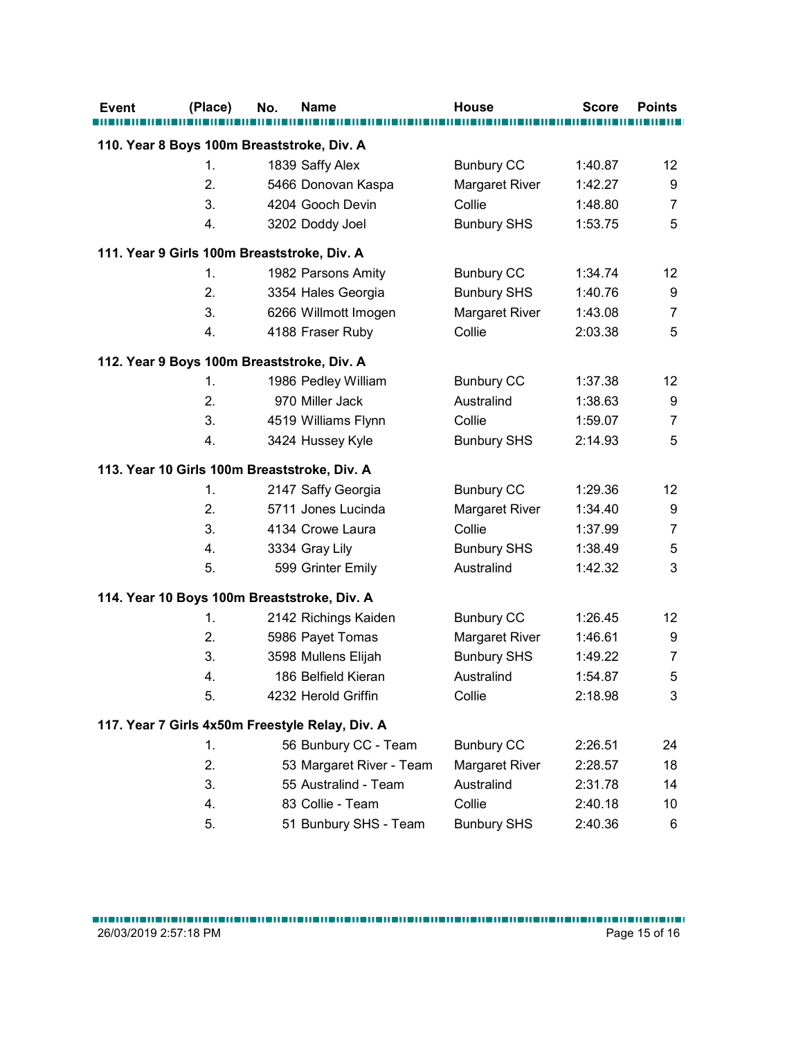| (Place) | No.<br><b>Name</b>                                            | <b>House</b>       | <b>Score</b> | <b>Points</b>  |
|---------|---------------------------------------------------------------|--------------------|--------------|----------------|
|         |                                                               |                    |              |                |
| 1.      | 110. Year 8 Boys 100m Breaststroke, Div. A<br>1839 Saffy Alex | <b>Bunbury CC</b>  | 1:40.87      | 12             |
| 2.      | 5466 Donovan Kaspa                                            | Margaret River     | 1:42.27      | 9              |
| 3.      | 4204 Gooch Devin                                              | Collie             | 1:48.80      | $\overline{7}$ |
| 4.      | 3202 Doddy Joel                                               | <b>Bunbury SHS</b> | 1:53.75      | 5              |
|         |                                                               |                    |              |                |
|         | 111. Year 9 Girls 100m Breaststroke, Div. A                   |                    |              |                |
| 1.      | 1982 Parsons Amity                                            | <b>Bunbury CC</b>  | 1:34.74      | 12             |
| 2.      | 3354 Hales Georgia                                            | <b>Bunbury SHS</b> | 1:40.76      | 9              |
| 3.      | 6266 Willmott Imogen                                          | Margaret River     | 1:43.08      | $\overline{7}$ |
| 4.      | 4188 Fraser Ruby                                              | Collie             | 2:03.38      | 5              |
|         | 112. Year 9 Boys 100m Breaststroke, Div. A                    |                    |              |                |
| 1.      | 1986 Pedley William                                           | <b>Bunbury CC</b>  | 1:37.38      | 12             |
| 2.      | 970 Miller Jack                                               | Australind         | 1:38.63      | 9              |
| 3.      | 4519 Williams Flynn                                           | Collie             | 1:59.07      | $\overline{7}$ |
| 4.      | 3424 Hussey Kyle                                              | <b>Bunbury SHS</b> | 2:14.93      | 5              |
|         | 113. Year 10 Girls 100m Breaststroke, Div. A                  |                    |              |                |
| 1.      | 2147 Saffy Georgia                                            | <b>Bunbury CC</b>  | 1:29.36      | 12             |
| 2.      | 5711 Jones Lucinda                                            | Margaret River     | 1:34.40      | 9              |
| 3.      | 4134 Crowe Laura                                              | Collie             | 1:37.99      | 7              |
| 4.      | 3334 Gray Lily                                                | <b>Bunbury SHS</b> | 1:38.49      | 5              |
| 5.      | 599 Grinter Emily                                             | Australind         | 1:42.32      | 3              |
|         |                                                               |                    |              |                |
|         | 114. Year 10 Boys 100m Breaststroke, Div. A                   |                    |              |                |
| 1.      | 2142 Richings Kaiden                                          | <b>Bunbury CC</b>  | 1:26.45      | 12             |
| 2.      | 5986 Payet Tomas                                              | Margaret River     | 1:46.61      | 9              |
| 3.      | 3598 Mullens Elijah                                           | <b>Bunbury SHS</b> | 1:49.22      | 7              |
| 4.      | 186 Belfield Kieran                                           | Australind         | 1:54.87      | 5              |
| 5.      | 4232 Herold Griffin                                           | Collie             | 2:18.98      | 3              |
|         | 117. Year 7 Girls 4x50m Freestyle Relay, Div. A               |                    |              |                |
| 1.      | 56 Bunbury CC - Team                                          | <b>Bunbury CC</b>  | 2:26.51      | 24             |
| 2.      | 53 Margaret River - Team                                      | Margaret River     | 2:28.57      | 18             |
| 3.      | 55 Australind - Team                                          | Australind         | 2:31.78      | 14             |
| 4.      | 83 Collie - Team                                              | Collie             | 2:40.18      | $10$           |
| 5.      | 51 Bunbury SHS - Team                                         | <b>Bunbury SHS</b> | 2:40.36      | 6              |
|         |                                                               |                    |              |                |